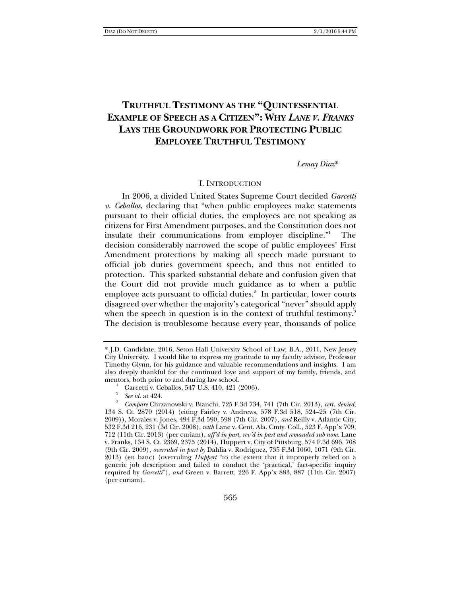# **TRUTHFUL TESTIMONY AS THE "QUINTESSENTIAL EXAMPLE OF SPEECH AS A CITIZEN": WHY** *LANE V. FRANKS* **LAYS THE GROUNDWORK FOR PROTECTING PUBLIC EMPLOYEE TRUTHFUL TESTIMONY**

### *Lemay Diaz*\*

### I. INTRODUCTION

In 2006, a divided United States Supreme Court decided *Garcetti v. Ceballos*, declaring that "when public employees make statements pursuant to their official duties, the employees are not speaking as citizens for First Amendment purposes, and the Constitution does not insulate their communications from employer discipline." The decision considerably narrowed the scope of public employees' First Amendment protections by making all speech made pursuant to official job duties government speech, and thus not entitled to protection. This sparked substantial debate and confusion given that the Court did not provide much guidance as to when a public employee acts pursuant to official duties.<sup>2</sup> In particular, lower courts disagreed over whether the majority's categorical "never" should apply when the speech in question is in the context of truthful testimony. $^3$ The decision is troublesome because every year, thousands of police

<sup>\*</sup> J.D. Candidate, 2016, Seton Hall University School of Law; B.A., 2011, New Jersey City University. I would like to express my gratitude to my faculty advisor, Professor Timothy Glynn, for his guidance and valuable recommendations and insights. I am also deeply thankful for the continued love and support of my family, friends, and mentors, both prior to and during law school. 1

Garcetti v. Ceballos, 547 U.S. 410, 421 (2006).

<sup>2</sup>  $\frac{2}{3}$  *See id.* at 424.

*Compare* Chrzanowski v. Bianchi, 725 F.3d 734, 741 (7th Cir. 2013), *cert. denied*, 134 S. Ct. 2870 (2014) (citing Fairley v. Andrews, 578 F.3d 518, 524–25 (7th Cir. 2009)), Morales v. Jones, 494 F.3d 590, 598 (7th Cir. 2007), *and* Reilly v. Atlantic City, 532 F.3d 216, 231 (3d Cir. 2008), *with* Lane v. Cent. Ala. Cmty. Coll., 523 F. App'x 709, 712 (11th Cir. 2013) (per curiam), *aff'd in part, rev'd in part and remanded sub nom.* Lane v. Franks, 134 S. Ct. 2369, 2375 (2014), Huppert v. City of Pittsburg, 574 F.3d 696, 708 (9th Cir. 2009), *overruled in part by* Dahlia v. Rodriguez, 735 F.3d 1060, 1071 (9th Cir. 2013) (en banc) (overruling *Huppert* "to the extent that it improperly relied on a generic job description and failed to conduct the 'practical,' fact-specific inquiry required by *Garcetti*"), *and* Green v. Barrett, 226 F. App'x 883, 887 (11th Cir. 2007) (per curiam).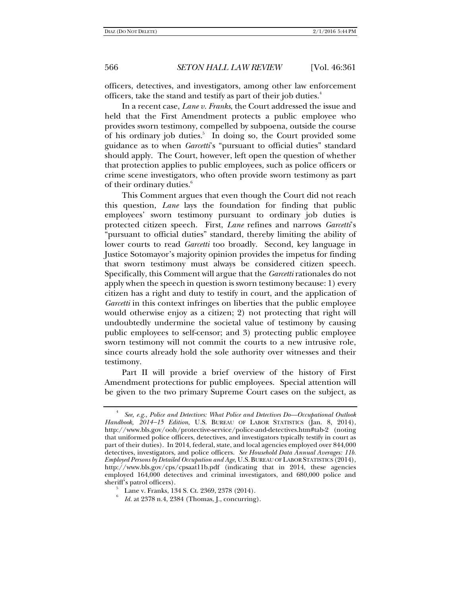officers, detectives, and investigators, among other law enforcement officers, take the stand and testify as part of their job duties.4

In a recent case, *Lane v. Franks*, the Court addressed the issue and held that the First Amendment protects a public employee who provides sworn testimony, compelled by subpoena, outside the course of his ordinary job duties.<sup>5</sup> In doing so, the Court provided some guidance as to when *Garcetti*'s "pursuant to official duties" standard should apply. The Court, however, left open the question of whether that protection applies to public employees, such as police officers or crime scene investigators, who often provide sworn testimony as part of their ordinary duties.<sup>6</sup>

This Comment argues that even though the Court did not reach this question, *Lane* lays the foundation for finding that public employees' sworn testimony pursuant to ordinary job duties is protected citizen speech. First, *Lane* refines and narrows *Garcetti*'s "pursuant to official duties" standard, thereby limiting the ability of lower courts to read *Garcetti* too broadly. Second, key language in Justice Sotomayor's majority opinion provides the impetus for finding that sworn testimony must always be considered citizen speech. Specifically, this Comment will argue that the *Garcetti* rationales do not apply when the speech in question is sworn testimony because: 1) every citizen has a right and duty to testify in court, and the application of *Garcetti* in this context infringes on liberties that the public employee would otherwise enjoy as a citizen; 2) not protecting that right will undoubtedly undermine the societal value of testimony by causing public employees to self-censor; and 3) protecting public employee sworn testimony will not commit the courts to a new intrusive role, since courts already hold the sole authority over witnesses and their testimony.

Part II will provide a brief overview of the history of First Amendment protections for public employees. Special attention will be given to the two primary Supreme Court cases on the subject, as

6

<sup>4</sup> *See, e.g.*, *Police and Detectives: What Police and Detectives Do—Occupational Outlook*  Handbook, 2014-15 Edition, U.S. BUREAU OF LABOR STATISTICS (Jan. 8, 2014), http://www.bls.gov/ooh/protective-service/police-and-detectives.htm#tab-2 (noting that uniformed police officers, detectives, and investigators typically testify in court as part of their duties). In 2014, federal, state, and local agencies employed over 844,000 detectives, investigators, and police officers. *See Household Data Annual Averages: 11b. Employed Persons by Detailed Occupation and Age*, U.S.BUREAU OF LABOR STATISTICS (2014), http://www.bls.gov/cps/cpsaat11b.pdf (indicating that in 2014, these agencies employed 164,000 detectives and criminal investigators, and 680,000 police and sheriff's patrol officers).

Lane v. Franks, 134 S. Ct. 2369, 2378 (2014).

*Id.* at 2378 n.4, 2384 (Thomas, J., concurring).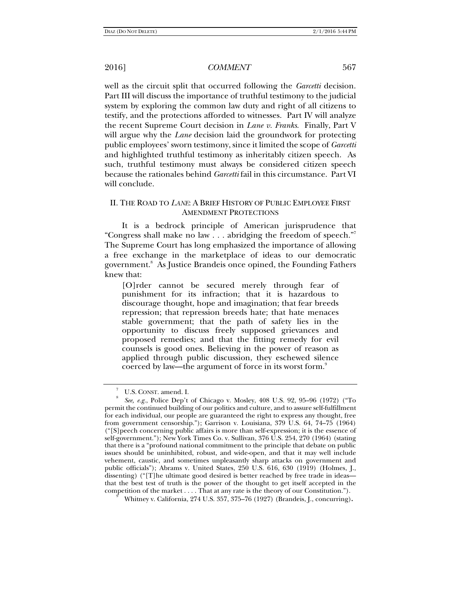well as the circuit split that occurred following the *Garcetti* decision. Part III will discuss the importance of truthful testimony to the judicial system by exploring the common law duty and right of all citizens to testify, and the protections afforded to witnesses. Part IV will analyze the recent Supreme Court decision in *Lane v. Franks*. Finally, Part V will argue why the *Lane* decision laid the groundwork for protecting public employees' sworn testimony, since it limited the scope of *Garcetti* and highlighted truthful testimony as inheritably citizen speech. As such, truthful testimony must always be considered citizen speech because the rationales behind *Garcetti* fail in this circumstance. Part VI will conclude.

# II. THE ROAD TO *LANE*: A BRIEF HISTORY OF PUBLIC EMPLOYEE FIRST AMENDMENT PROTECTIONS

It is a bedrock principle of American jurisprudence that "Congress shall make no law . . . abridging the freedom of speech."7 The Supreme Court has long emphasized the importance of allowing a free exchange in the marketplace of ideas to our democratic government.<sup>8</sup> As Justice Brandeis once opined, the Founding Fathers knew that:

[O]rder cannot be secured merely through fear of punishment for its infraction; that it is hazardous to discourage thought, hope and imagination; that fear breeds repression; that repression breeds hate; that hate menaces stable government; that the path of safety lies in the opportunity to discuss freely supposed grievances and proposed remedies; and that the fitting remedy for evil counsels is good ones. Believing in the power of reason as applied through public discussion, they eschewed silence coerced by law—the argument of force in its worst form.<sup>9</sup>

<sup>7</sup> U.S. CONST. amend. I.

*See, e.g.*, Police Dep't of Chicago v. Mosley, 408 U.S. 92, 95–96 (1972) ("To permit the continued building of our politics and culture, and to assure self-fulfillment for each individual, our people are guaranteed the right to express any thought, free from government censorship."); Garrison v. Louisiana, 379 U.S. 64, 74–75 (1964) ("[S]peech concerning public affairs is more than self-expression; it is the essence of self-government."); New York Times Co. v. Sullivan, 376 U.S. 254, 270 (1964) (stating that there is a "profound national commitment to the principle that debate on public issues should be uninhibited, robust, and wide-open, and that it may well include vehement, caustic, and sometimes unpleasantly sharp attacks on government and public officials"); Abrams v. United States, 250 U.S. 616, 630 (1919) (Holmes, J., dissenting) ("[T]he ultimate good desired is better reached by free trade in ideas that the best test of truth is the power of the thought to get itself accepted in the competition of the market  $\dots$ . That at any rate is the theory of our Constitution.").

Whitney v. California, 274 U.S. 357, 375–76 (1927) (Brandeis, J., concurring)**.**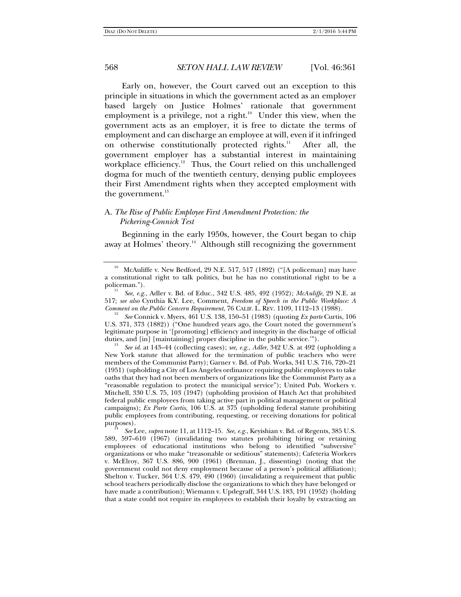Early on, however, the Court carved out an exception to this principle in situations in which the government acted as an employer based largely on Justice Holmes' rationale that government employment is a privilege, not a right.<sup>10</sup> Under this view, when the government acts as an employer, it is free to dictate the terms of employment and can discharge an employee at will, even if it infringed on otherwise constitutionally protected rights.<sup>11</sup> After all, the government employer has a substantial interest in maintaining workplace efficiency.<sup>12</sup> Thus, the Court relied on this unchallenged dogma for much of the twentieth century, denying public employees their First Amendment rights when they accepted employment with the government.<sup>13</sup>

### A. *The Rise of Public Employee First Amendment Protection: the Pickering-Connick Test*

Beginning in the early 1950s, however, the Court began to chip away at Holmes' theory.<sup>14</sup> Although still recognizing the government

*Comment on the Public Concern Requirement*, 76 CALIF. L. REV. 1109, 1112–13 (1988). 12 *See* Connick v. Myers, 461 U.S. 138, 150–51 (1983) (quoting *Ex parte* Curtis, 106 U.S. 371, 373 (1882)) ("One hundred years ago, the Court noted the government's legitimate purpose in '[promoting] efficiency and integrity in the discharge of official duties, and [in] [maintaining] proper discipline in the public service."").

 *See id*. at 143–44 (collecting cases); *see, e.g.*, *Adler*, 342 U.S. at 492 (upholding a New York statute that allowed for the termination of public teachers who were members of the Communist Party); Garner v. Bd. of Pub. Works, 341 U.S. 716, 720–21 (1951) (upholding a City of Los Angeles ordinance requiring public employees to take oaths that they had not been members of organizations like the Communist Party as a "reasonable regulation to protect the municipal service"); United Pub. Workers v. Mitchell, 330 U.S. 75, 103 (1947) (upholding provision of Hatch Act that prohibited federal public employees from taking active part in political management or political campaigns); *Ex Parte Curtis*, 106 U.S. at 375 (upholding federal statute prohibiting public employees from contributing, requesting, or receiving donations for political

 $10$  McAuliffe v. New Bedford, 29 N.E. 517, 517 (1892) ("[A policeman] may have a constitutional right to talk politics, but he has no constitutional right to be a policeman.").

*See, e.g.*, Adler v. Bd. of Educ., 342 U.S. 485, 492 (1952); *McAuliffe*, 29 N.E. at 517; *see also* Cynthia K.Y. Lee, Comment, *Freedom of Speech in the Public Workplace: A* 

purposes). 14 *See* Lee, *supra* note 11, at 1112–15. *See, e.g.*, Keyishian v. Bd. of Regents, 385 U.S. 589, 597–610 (1967) (invalidating two statutes prohibiting hiring or retaining employees of educational institutions who belong to identified "subversive" organizations or who make "treasonable or seditious" statements); Cafeteria Workers v. McElroy, 367 U.S. 886, 900 (1961) (Brennan, J., dissenting) (noting that the government could not deny employment because of a person's political affiliation); Shelton v. Tucker, 364 U.S. 479, 490 (1960) (invalidating a requirement that public school teachers periodically disclose the organizations to which they have belonged or have made a contribution); Wiemann v. Updegraff, 344 U.S. 183, 191 (1952) (holding that a state could not require its employees to establish their loyalty by extracting an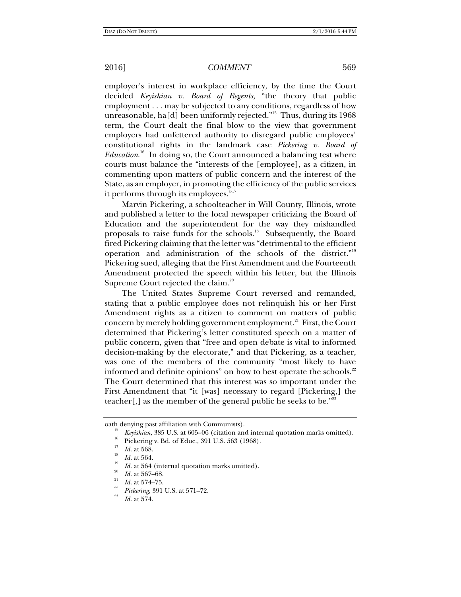employer's interest in workplace efficiency, by the time the Court decided *Keyishian v. Board of Regents*, "the theory that public employment . . . may be subjected to any conditions, regardless of how unreasonable, ha[d] been uniformly rejected."<sup>15</sup> Thus, during its  $1968$ term, the Court dealt the final blow to the view that government employers had unfettered authority to disregard public employees' constitutional rights in the landmark case *Pickering v. Board of Education*. 16 In doing so, the Court announced a balancing test where courts must balance the "interests of the [employee], as a citizen, in commenting upon matters of public concern and the interest of the State, as an employer, in promoting the efficiency of the public services it performs through its employees."17

Marvin Pickering, a schoolteacher in Will County, Illinois, wrote and published a letter to the local newspaper criticizing the Board of Education and the superintendent for the way they mishandled proposals to raise funds for the schools.<sup>18</sup> Subsequently, the Board fired Pickering claiming that the letter was "detrimental to the efficient operation and administration of the schools of the district."19 Pickering sued, alleging that the First Amendment and the Fourteenth Amendment protected the speech within his letter, but the Illinois Supreme Court rejected the claim.<sup>20</sup>

The United States Supreme Court reversed and remanded, stating that a public employee does not relinquish his or her First Amendment rights as a citizen to comment on matters of public concern by merely holding government employment.<sup>21</sup> First, the Court determined that Pickering's letter constituted speech on a matter of public concern, given that "free and open debate is vital to informed decision-making by the electorate," and that Pickering, as a teacher, was one of the members of the community "most likely to have informed and definite opinions" on how to best operate the schools. $22$ The Court determined that this interest was so important under the First Amendment that "it [was] necessary to regard [Pickering,] the teacher[,] as the member of the general public he seeks to be."23

oath denying past affiliation with Communists).<br><sup>15</sup> *Keyishian*, 385 U.S. at 605–06 (citation and internal quotation marks omitted).<br><sup>16</sup> Pickering v. Bd. of Educ., 391 U.S. 563 (1968).

*Id.* at 568.<br>*Id.* at 564.

*Id.* at 564 (internal quotation marks omitted). *Id.* at 567–68. <br>*Id.* at 574–75.

<sup>&</sup>lt;sup>22</sup> *Pickering*, 391 U.S. at 571–72.

*Id.* at 574.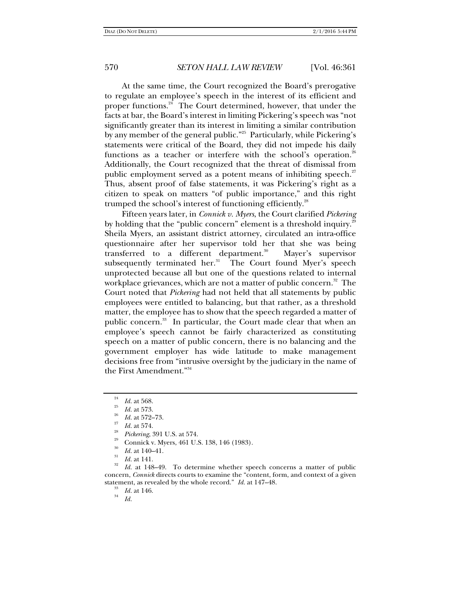At the same time, the Court recognized the Board's prerogative to regulate an employee's speech in the interest of its efficient and proper functions.<sup>24</sup> The Court determined, however, that under the facts at bar, the Board's interest in limiting Pickering's speech was "not significantly greater than its interest in limiting a similar contribution by any member of the general public."<sup>25</sup> Particularly, while Pickering's statements were critical of the Board, they did not impede his daily functions as a teacher or interfere with the school's operation.<sup>26</sup> Additionally, the Court recognized that the threat of dismissal from public employment served as a potent means of inhibiting speech. $27$ Thus, absent proof of false statements, it was Pickering's right as a citizen to speak on matters "of public importance," and this right trumped the school's interest of functioning efficiently.<sup>28</sup>

Fifteen years later, in *Connick v. Myers*, the Court clarified *Pickering* by holding that the "public concern" element is a threshold inquiry. $2^{\circ}$ Sheila Myers, an assistant district attorney, circulated an intra-office questionnaire after her supervisor told her that she was being transferred to a different department.<sup>30</sup> Mayer's supervisor subsequently terminated her. $31$  The Court found Myer's speech unprotected because all but one of the questions related to internal workplace grievances, which are not a matter of public concern.<sup>32</sup> The Court noted that *Pickering* had not held that all statements by public employees were entitled to balancing, but that rather, as a threshold matter, the employee has to show that the speech regarded a matter of public concern.33 In particular, the Court made clear that when an employee's speech cannot be fairly characterized as constituting speech on a matter of public concern, there is no balancing and the government employer has wide latitude to make management decisions free from "intrusive oversight by the judiciary in the name of the First Amendment."34

- 
- *Id.* at 574.<br>*Pickering*, 391 U.S. at 574.
- Connick v. Myers, 461 U.S. 138, 146 (1983).
- 30  $\frac{30}{31}$  *Id.* at 140–41.<br>*Id.* at 141.
- 

<sup>32</sup> *Id.* at 148–49. To determine whether speech concerns a matter of public concern, *Connick* directs courts to examine the "content, form, and context of a given statement, as revealed by the whole record." *Id.* at 147–48.<br><sup>33</sup> *Id.* at 146.

*Id.*

<sup>24</sup> <sup>24</sup> *Id.* at 568.<br><sup>25</sup> *Id.* at 573.

*Id.* at 572–73.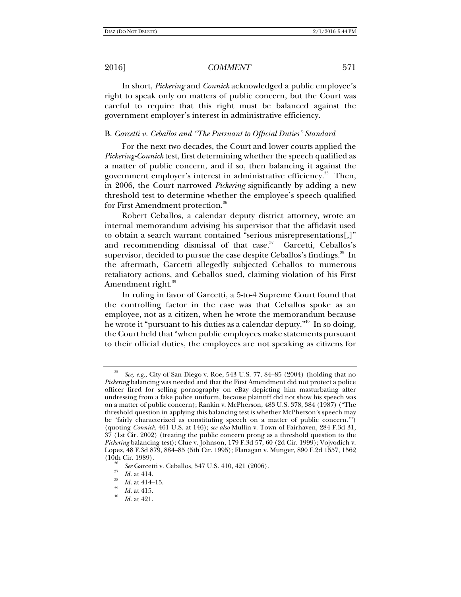In short, *Pickering* and *Connick* acknowledged a public employee's right to speak only on matters of public concern, but the Court was careful to require that this right must be balanced against the government employer's interest in administrative efficiency.

# B. *Garcetti v. Ceballos and "The Pursuant to Official Duties" Standard*

For the next two decades, the Court and lower courts applied the *Pickering-Connick* test, first determining whether the speech qualified as a matter of public concern, and if so, then balancing it against the government employer's interest in administrative efficiency.<sup>35</sup> Then, in 2006, the Court narrowed *Pickering* significantly by adding a new threshold test to determine whether the employee's speech qualified for First Amendment protection.<sup>36</sup>

Robert Ceballos, a calendar deputy district attorney, wrote an internal memorandum advising his supervisor that the affidavit used to obtain a search warrant contained "serious misrepresentations[,]" and recommending dismissal of that case. $37$  Garcetti, Ceballos's supervisor, decided to pursue the case despite Ceballos's findings.<sup>38</sup> In the aftermath, Garcetti allegedly subjected Ceballos to numerous retaliatory actions, and Ceballos sued, claiming violation of his First Amendment right.<sup>39</sup>

In ruling in favor of Garcetti, a 5-to-4 Supreme Court found that the controlling factor in the case was that Ceballos spoke as an employee, not as a citizen, when he wrote the memorandum because he wrote it "pursuant to his duties as a calendar deputy."<sup>40</sup> In so doing, the Court held that "when public employees make statements pursuant to their official duties, the employees are not speaking as citizens for

<sup>35</sup> *See, e.g.*, City of San Diego v. Roe, 543 U.S. 77, 84–85 (2004) (holding that no *Pickering* balancing was needed and that the First Amendment did not protect a police officer fired for selling pornography on eBay depicting him masturbating after undressing from a fake police uniform, because plaintiff did not show his speech was on a matter of public concern); Rankin v. McPherson, 483 U.S. 378, 384 (1987) ("The threshold question in applying this balancing test is whether McPherson's speech may be 'fairly characterized as constituting speech on a matter of public concern.'") (quoting *Connick*, 461 U.S. at 146); *see also* Mullin v. Town of Fairhaven, 284 F.3d 31, 37 (1st Cir. 2002) (treating the public concern prong as a threshold question to the *Pickering* balancing test); Clue v. Johnson, 179 F.3d 57, 60 (2d Cir. 1999); Vojvodich v. Lopez, 48 F.3d 879, 884–85 (5th Cir. 1995); Flanagan v. Munger, 890 F.2d 1557, 1562  $(10th$  Cir. 1989).

<sup>&</sup>lt;sup>36</sup> *See* Garcetti v. Ceballos, 547 U.S. 410, 421 (2006).<br><sup>37</sup> *Id.* at 414.

 $\frac{^{38}}{^{39}}$  *Id.* at 414–15.<br>  $\frac{10}{^{40}}$  *Id.* at 415.

*Id.* at 421.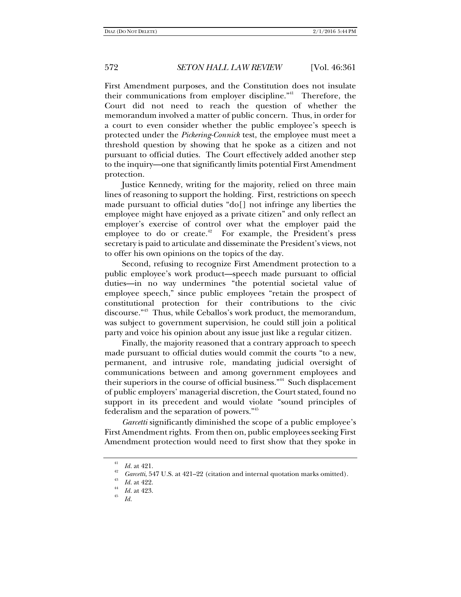First Amendment purposes, and the Constitution does not insulate their communications from employer discipline."41 Therefore, the Court did not need to reach the question of whether the memorandum involved a matter of public concern. Thus, in order for a court to even consider whether the public employee's speech is protected under the *Pickering-Connick* test, the employee must meet a threshold question by showing that he spoke as a citizen and not pursuant to official duties. The Court effectively added another step to the inquiry—one that significantly limits potential First Amendment protection.

Justice Kennedy, writing for the majority, relied on three main lines of reasoning to support the holding. First, restrictions on speech made pursuant to official duties "do[] not infringe any liberties the employee might have enjoyed as a private citizen" and only reflect an employer's exercise of control over what the employer paid the employee to do or create. $42$  For example, the President's press secretary is paid to articulate and disseminate the President's views, not to offer his own opinions on the topics of the day.

Second, refusing to recognize First Amendment protection to a public employee's work product—speech made pursuant to official duties—in no way undermines "the potential societal value of employee speech," since public employees "retain the prospect of constitutional protection for their contributions to the civic discourse."43 Thus, while Ceballos's work product, the memorandum, was subject to government supervision, he could still join a political party and voice his opinion about any issue just like a regular citizen.

Finally, the majority reasoned that a contrary approach to speech made pursuant to official duties would commit the courts "to a new, permanent, and intrusive role, mandating judicial oversight of communications between and among government employees and their superiors in the course of official business."<sup>44</sup> Such displacement of public employers' managerial discretion, the Court stated, found no support in its precedent and would violate "sound principles of federalism and the separation of powers."<sup>45</sup>

*Garcetti* significantly diminished the scope of a public employee's First Amendment rights. From then on, public employees seeking First Amendment protection would need to first show that they spoke in

*Id.* 

<sup>41</sup>

<sup>&</sup>lt;sup>41</sup> *Id.* at 421.<br><sup>42</sup> *Garcetti*, 547 U.S. at 421–22 (citation and internal quotation marks omitted).<br><sup>43</sup> *Id.* at 422.

 $\frac{44}{45}$  *Id.* at 423.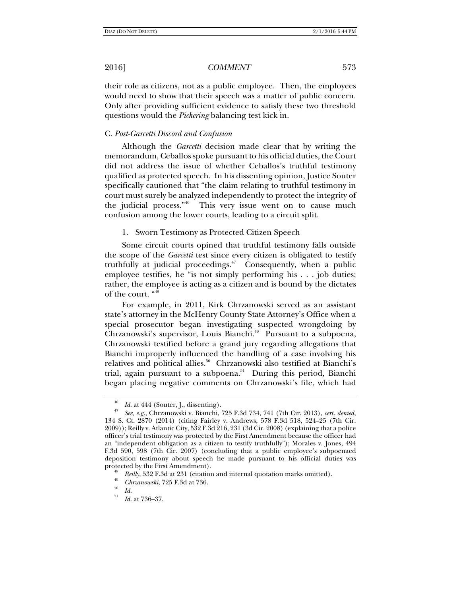their role as citizens, not as a public employee. Then, the employees would need to show that their speech was a matter of public concern. Only after providing sufficient evidence to satisfy these two threshold questions would the *Pickering* balancing test kick in.

# C. *Post-Garcetti Discord and Confusion*

Although the *Garcetti* decision made clear that by writing the memorandum, Ceballos spoke pursuant to his official duties, the Court did not address the issue of whether Ceballos's truthful testimony qualified as protected speech. In his dissenting opinion, Justice Souter specifically cautioned that "the claim relating to truthful testimony in court must surely be analyzed independently to protect the integrity of the judicial process."46 This very issue went on to cause much confusion among the lower courts, leading to a circuit split.

### 1. Sworn Testimony as Protected Citizen Speech

Some circuit courts opined that truthful testimony falls outside the scope of the *Garcetti* test since every citizen is obligated to testify truthfully at judicial proceedings. $47$  Consequently, when a public employee testifies, he "is not simply performing his . . . job duties; rather, the employee is acting as a citizen and is bound by the dictates of the court. "48

For example, in 2011, Kirk Chrzanowski served as an assistant state's attorney in the McHenry County State Attorney's Office when a special prosecutor began investigating suspected wrongdoing by Chrzanowski's supervisor, Louis Bianchi.<sup>49</sup> Pursuant to a subpoena, Chrzanowski testified before a grand jury regarding allegations that Bianchi improperly influenced the handling of a case involving his relatives and political allies.<sup>50</sup> Chrzanowski also testified at Bianchi's trial, again pursuant to a subpoena.<sup>51</sup> During this period, Bianchi began placing negative comments on Chrzanowski's file, which had

<sup>46</sup>*Id*. at 444 (Souter, J., dissenting). 47 *See, e.g.*, Chrzanowski v. Bianchi, 725 F.3d 734, 741 (7th Cir. 2013), *cert. denied*, 134 S. Ct. 2870 (2014) (citing Fairley v. Andrews, 578 F.3d 518, 524–25 (7th Cir. 2009)); Reilly v. Atlantic City, 532 F.3d 216, 231 (3d Cir. 2008) (explaining that a police officer's trial testimony was protected by the First Amendment because the officer had an "independent obligation as a citizen to testify truthfully"); Morales v. Jones, 494 F.3d 590, 598 (7th Cir. 2007) (concluding that a public employee's subpoenaed deposition testimony about speech he made pursuant to his official duties was

*Reilly*, 532 F.3d at 231 (citation and internal quotation marks omitted).

<sup>&</sup>lt;sup>49</sup> *Chrzanowski*, 725 F.3d at 736.<br> *Id.* 506, 87

*Id*. at 736–37.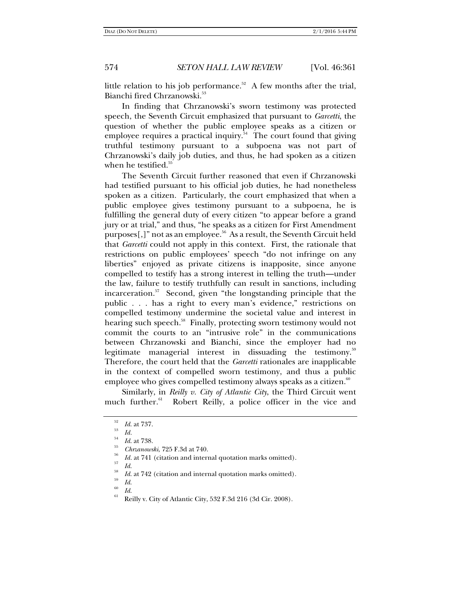little relation to his job performance. $52$  A few months after the trial, Bianchi fired Chrzanowski.<sup>53</sup>

In finding that Chrzanowski's sworn testimony was protected speech, the Seventh Circuit emphasized that pursuant to *Garcetti*, the question of whether the public employee speaks as a citizen or employee requires a practical inquiry.<sup>54</sup> The court found that giving truthful testimony pursuant to a subpoena was not part of Chrzanowski's daily job duties, and thus, he had spoken as a citizen when he testified. $55$ 

The Seventh Circuit further reasoned that even if Chrzanowski had testified pursuant to his official job duties, he had nonetheless spoken as a citizen. Particularly, the court emphasized that when a public employee gives testimony pursuant to a subpoena, he is fulfilling the general duty of every citizen "to appear before a grand jury or at trial," and thus, "he speaks as a citizen for First Amendment purposes[,]" not as an employee.<sup>56</sup> As a result, the Seventh Circuit held that *Garcetti* could not apply in this context. First, the rationale that restrictions on public employees' speech "do not infringe on any liberties" enjoyed as private citizens is inapposite, since anyone compelled to testify has a strong interest in telling the truth—under the law, failure to testify truthfully can result in sanctions, including incarceration.<sup>57</sup> Second, given "the longstanding principle that the public . . . has a right to every man's evidence," restrictions on compelled testimony undermine the societal value and interest in hearing such speech.<sup>58</sup> Finally, protecting sworn testimony would not commit the courts to an "intrusive role" in the communications between Chrzanowski and Bianchi, since the employer had no legitimate managerial interest in dissuading the testimony.<sup>59</sup> Therefore, the court held that the *Garcetti* rationales are inapplicable in the context of compelled sworn testimony, and thus a public employee who gives compelled testimony always speaks as a citizen. $60$ 

Similarly, in *Reilly v. City of Atlantic City*, the Third Circuit went much further.<sup>61</sup> Robert Reilly, a police officer in the vice and

- <sup>35</sup> *Chrzanowski*, 725 F.3d at 740.<br><sup>56</sup> *Id.* at 741 (citation and internal quotation marks omitted).<br><sup>57</sup> *Id.*
- 

<sup>&</sup>lt;sup>52</sup> *Id.* at 737.<br><sup>53</sup> *Id. Id.* at 738.

*Id.* at 742 (citation and internal quotation marks omitted). *Id.* 

<sup>&</sup>lt;sup>00</sup> *Id.*<br><sup>61</sup> Reilly v. City of Atlantic City, 532 F.3d 216 (3d Cir. 2008).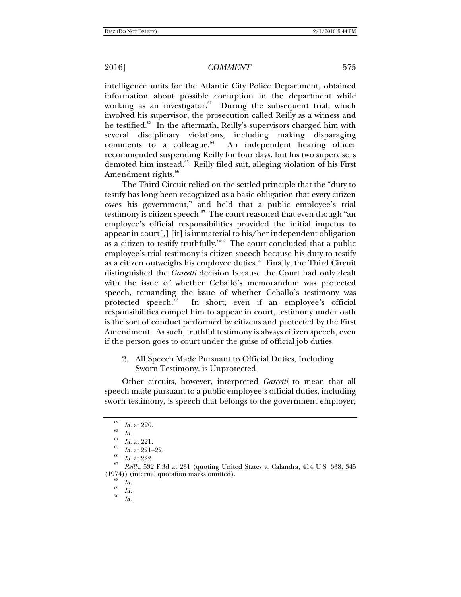intelligence units for the Atlantic City Police Department, obtained information about possible corruption in the department while working as an investigator. $62$  During the subsequent trial, which involved his supervisor, the prosecution called Reilly as a witness and he testified.<sup>63</sup> In the aftermath, Reilly's supervisors charged him with several disciplinary violations, including making disparaging comments to a colleague.<sup>64</sup> An independent hearing officer recommended suspending Reilly for four days, but his two supervisors demoted him instead.<sup>65</sup> Reilly filed suit, alleging violation of his First Amendment rights.<sup>66</sup>

The Third Circuit relied on the settled principle that the "duty to testify has long been recognized as a basic obligation that every citizen owes his government," and held that a public employee's trial testimony is citizen speech.<sup>67</sup> The court reasoned that even though "an employee's official responsibilities provided the initial impetus to appear in court[,] [it] is immaterial to his/her independent obligation as a citizen to testify truthfully."68 The court concluded that a public employee's trial testimony is citizen speech because his duty to testify as a citizen outweighs his employee duties. $69$  Finally, the Third Circuit distinguished the *Garcetti* decision because the Court had only dealt with the issue of whether Ceballo's memorandum was protected speech, remanding the issue of whether Ceballo's testimony was protected speech.<sup>70</sup> In short, even if an employee's official responsibilities compel him to appear in court, testimony under oath is the sort of conduct performed by citizens and protected by the First Amendment. As such, truthful testimony is always citizen speech, even if the person goes to court under the guise of official job duties.

2. All Speech Made Pursuant to Official Duties, Including Sworn Testimony, is Unprotected

Other circuits, however, interpreted *Garcetti* to mean that all speech made pursuant to a public employee's official duties, including sworn testimony, is speech that belongs to the government employer,

<sup>62</sup>

<sup>&</sup>lt;sup>62</sup> *Id.* at 220.<br><sup>64</sup> *Id.* at 221.<br><sup>65</sup> *Id.* at 221–22.

*Id.* at 222. *Reilly*, 532 F.3d at 231 (quoting United States v. Calandra, 414 U.S. 338, 345  $(1974)$ ) (internal quotation marks omitted).

 $\frac{1}{69}$  *Id.*  $\frac{1}{70}$  *Id.* 

*Id*.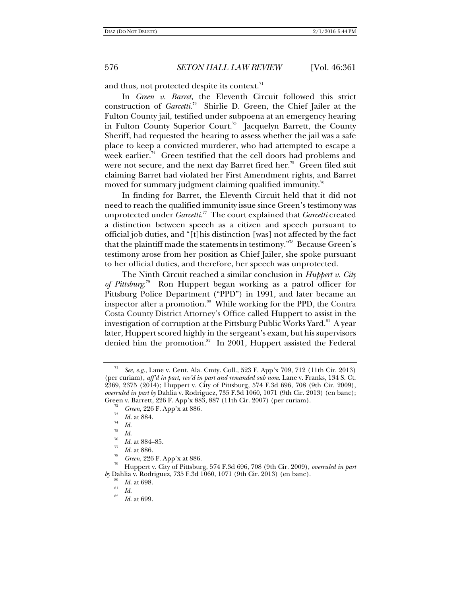and thus, not protected despite its context. $^{\pi}$ 

In *Green v. Barret*, the Eleventh Circuit followed this strict construction of *Garcetti*. 72 Shirlie D. Green, the Chief Jailer at the Fulton County jail, testified under subpoena at an emergency hearing in Fulton County Superior Court.<sup>73</sup> Jacquelyn Barrett, the County Sheriff, had requested the hearing to assess whether the jail was a safe place to keep a convicted murderer, who had attempted to escape a week earlier.<sup>74</sup> Green testified that the cell doors had problems and were not secure, and the next day Barret fired her.<sup>75</sup> Green filed suit claiming Barret had violated her First Amendment rights, and Barret moved for summary judgment claiming qualified immunity.<sup>76</sup>

In finding for Barret, the Eleventh Circuit held that it did not need to reach the qualified immunity issue since Green's testimony was unprotected under *Garcetti*. 77 The court explained that *Garcetti* created a distinction between speech as a citizen and speech pursuant to official job duties, and "[t]his distinction [was] not affected by the fact that the plaintiff made the statements in testimony."<sup>78</sup> Because Green's testimony arose from her position as Chief Jailer, she spoke pursuant to her official duties, and therefore, her speech was unprotected.

The Ninth Circuit reached a similar conclusion in *Huppert v. City of Pittsburg*. 79 Ron Huppert began working as a patrol officer for Pittsburg Police Department ("PPD") in 1991, and later became an inspector after a promotion.<sup>80</sup> While working for the PPD, the Contra Costa County District Attorney's Office called Huppert to assist in the investigation of corruption at the Pittsburg Public Works Yard.<sup>81</sup> A year later, Huppert scored highly in the sergeant's exam, but his supervisors denied him the promotion. $82$  In 2001, Huppert assisted the Federal

See, e.g., Lane v. Cent. Ala. Cmty. Coll., 523 F. App'x 709, 712 (11th Cir. 2013) (per curiam), *aff'd in part, rev'd in part and remanded sub nom.* Lane v. Franks, 134 S. Ct. 2369, 2375 (2014); Huppert v. City of Pittsburg, 574 F.3d 696, 708 (9th Cir. 2009), *overruled in part by* Dahlia v. Rodriguez, 735 F.3d 1060, 1071 (9th Cir. 2013) (en banc); Green v. Barrett, 226 F. App'x 883, 887 (11th Cir. 2007) (per curiam).<br><sup>72</sup> *Green*, 226 F. App'x at 886.

 $\frac{73}{74}$  *Id.* at 884.

<sup>&</sup>lt;sup>75</sup> *Id.*<br><sup>76</sup> *Id.* at 884–85.<br><sup>77</sup> *Id.* at 886.

*Green*, 226 F. App'x at 886.<br>Huppert v. City of Pittsburg, 574 F.3d 696, 708 (9th Cir. 2009), *overruled in part by* Dahlia v. Rodriguez, 735 F.3d 1060, 1071 (9th Cir. 2013) (en banc).

<sup>80</sup>  $I_{d}^{80}$  *Id.* at 698.<br><sup>81</sup> *Id.* 820

*Id*. at 699.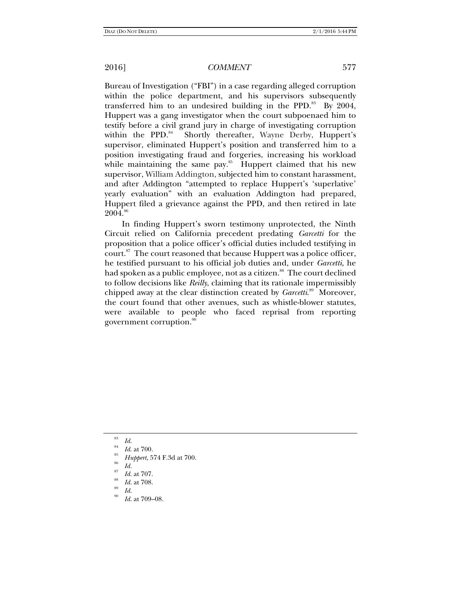Bureau of Investigation ("FBI") in a case regarding alleged corruption within the police department, and his supervisors subsequently transferred him to an undesired building in the PPD. $83$  By 2004, Huppert was a gang investigator when the court subpoenaed him to testify before a civil grand jury in charge of investigating corruption within the PPD.<sup>84</sup> Shortly thereafter, Wayne Derby, Huppert's supervisor, eliminated Huppert's position and transferred him to a position investigating fraud and forgeries, increasing his workload while maintaining the same pay. $85$  Huppert claimed that his new supervisor, William Addington, subjected him to constant harassment, and after Addington "attempted to replace Huppert's 'superlative' yearly evaluation" with an evaluation Addington had prepared, Huppert filed a grievance against the PPD, and then retired in late 2004.<sup>86</sup>

In finding Huppert's sworn testimony unprotected, the Ninth Circuit relied on California precedent predating *Garcetti* for the proposition that a police officer's official duties included testifying in court.<sup>87</sup> The court reasoned that because Huppert was a police officer, he testified pursuant to his official job duties and, under *Garcetti*, he had spoken as a public employee, not as a citizen.<sup>88</sup> The court declined to follow decisions like *Reilly*, claiming that its rationale impermissibly chipped away at the clear distinction created by *Garcetti*. 89 Moreover, the court found that other avenues, such as whistle-blower statutes, were available to people who faced reprisal from reporting government corruption.<sup>90</sup>

<sup>83</sup>

*Id.*<br>*Id.* at 700.<br>*Huppert,* 574 F.3d at 700.<br>*Id.* 

*Id.* at 707.

<sup>&</sup>lt;sup>88</sup> *Id.* at 708.<br><sup>89</sup> *Id.* 500

*Id*. at 709–08.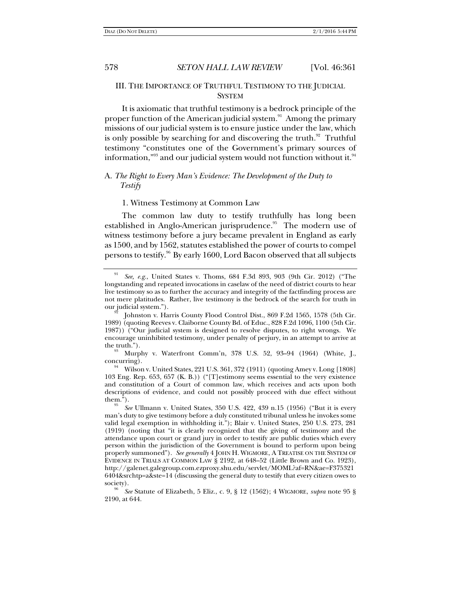# III. THE IMPORTANCE OF TRUTHFUL TESTIMONY TO THE JUDICIAL **SYSTEM**

It is axiomatic that truthful testimony is a bedrock principle of the proper function of the American judicial system.91Among the primary missions of our judicial system is to ensure justice under the law, which is only possible by searching for and discovering the truth. $92$  Truthful testimony "constitutes one of the Government's primary sources of information," $^{93}$  and our judicial system would not function without it. $^{94}$ 

# A. *The Right to Every Man's Evidence: The Development of the Duty to Testify*

### 1. Witness Testimony at Common Law

The common law duty to testify truthfully has long been established in Anglo-American jurisprudence.<sup>95</sup> The modern use of witness testimony before a jury became prevalent in England as early as 1500, and by 1562, statutes established the power of courts to compel persons to testify.<sup>96</sup> By early 1600, Lord Bacon observed that all subjects

<sup>91</sup> *See, e.g.*, United States v. Thoms, 684 F.3d 893, 903 (9th Cir. 2012) ("The longstanding and repeated invocations in caselaw of the need of district courts to hear live testimony so as to further the accuracy and integrity of the factfinding process are not mere platitudes. Rather, live testimony is the bedrock of the search for truth in

our judicial system.").<br><sup>92</sup> Johnston v. Harris County Flood Control Dist., 869 F.2d 1565, 1578 (5th Cir. 1989) (quoting Reeves v. Claiborne County Bd. of Educ., 828 F.2d 1096, 1100 (5th Cir. 1987)) ("Our judicial system is designed to resolve disputes, to right wrongs. We encourage uninhibited testimony, under penalty of perjury, in an attempt to arrive at

the truth.").<br><sup>93</sup> Murphy v. Waterfront Comm'n, 378 U.S. 52, 93–94 (1964) (White, J.,

concurring).<br><sup>94</sup> Wilson v. United States, 221 U.S. 361, 372 (1911) (quoting Amey v. Long [1808] 103 Eng. Rep. 653, 657 (K. B.)) ("[T]estimony seems essential to the very existence and constitution of a Court of common law, which receives and acts upon both descriptions of evidence, and could not possibly proceed with due effect without  $them.'$ ).

*See* Ullmann v. United States, 350 U.S. 422, 439 n.15 (1956) ("But it is every man's duty to give testimony before a duly constituted tribunal unless he invokes some valid legal exemption in withholding it."); Blair v. United States, 250 U.S. 273, 281 (1919) (noting that "it is clearly recognized that the giving of testimony and the attendance upon court or grand jury in order to testify are public duties which every person within the jurisdiction of the Government is bound to perform upon being properly summoned"). *See generally* 4 JOHN H. WIGMORE, A TREATISE ON THE SYSTEM OF EVIDENCE IN TRIALS AT COMMON LAW § 2192, at 648–52 (Little Brown and Co. 1923), http://galenet.galegroup.com.ezproxy.shu.edu/servlet/MOML?af=RN&ae=F375321 6404&srchtp=a&ste=14 (discussing the general duty to testify that every citizen owes to society).

*See* Statute of Elizabeth, 5 Eliz., c. 9, § 12 (1562); 4 WIGMORE, *supra* note 95 § 2190, at 644.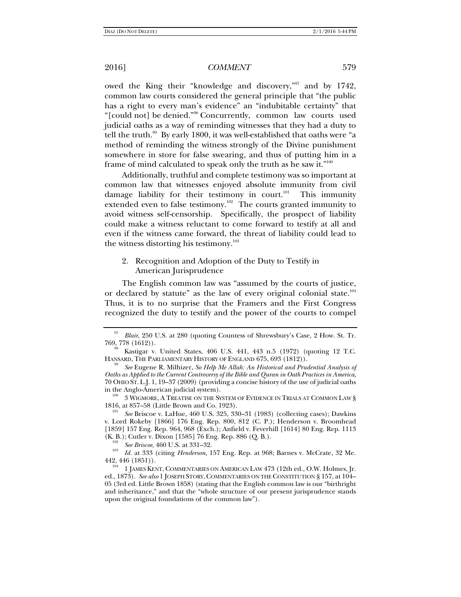owed the King their "knowledge and discovery,"<sup>97</sup> and by 1742, common law courts considered the general principle that "the public has a right to every man's evidence" an "indubitable certainty" that "[could not] be denied."98 Concurrently, common law courts used judicial oaths as a way of reminding witnesses that they had a duty to tell the truth.<sup>99</sup> By early 1800, it was well-established that oaths were "a method of reminding the witness strongly of the Divine punishment somewhere in store for false swearing, and thus of putting him in a frame of mind calculated to speak only the truth as he saw it."<sup>100</sup>

Additionally, truthful and complete testimony was so important at common law that witnesses enjoyed absolute immunity from civil damage liability for their testimony in court. $101$  This immunity extended even to false testimony.<sup>102</sup> The courts granted immunity to avoid witness self-censorship. Specifically, the prospect of liability could make a witness reluctant to come forward to testify at all and even if the witness came forward, the threat of liability could lead to the witness distorting his testimony.<sup>103</sup>

2. Recognition and Adoption of the Duty to Testify in American Jurisprudence

The English common law was "assumed by the courts of justice, or declared by statute" as the law of every original colonial state.<sup>104</sup> Thus, it is to no surprise that the Framers and the First Congress recognized the duty to testify and the power of the courts to compel

<sup>97</sup> *Blair*, 250 U.S. at 280 (quoting Countess of Shrewsbury's Case, 2 How. St. Tr. 769, 778 (1612)). 98 Kastigar v. United States, 406 U.S. 441, 443 n.5 (1972) (quoting 12 T.C.

HANSARD, THE PARLIAMENTARY HISTORY OF ENGLAND 675, 693 (1812)).

*See* Eugene R. Milhizer, *So Help Me Allah: An Historical and Prudential Analysis of Oaths as Applied to the Current Controversy of the Bible and Quran in Oath Practices in America*, 70 OHIO ST.L.J. 1, 19–37 (2009) (providing a concise history of the use of judicial oaths

 $^{100}$  3 WIGMORE, A TREATISE ON THE SYSTEM OF EVIDENCE IN TRIALS AT COMMON LAW § 1816, at 857-58 (Little Brown and Co. 1923).

*See* Briscoe v. LaHue, 460 U.S. 325, 330–31 (1983) (collecting cases); Dawkins v. Lord Rokeby [1866] 176 Eng. Rep. 800, 812 (C. P.); Henderson v. Broomhead [1859] 157 Eng. Rep. 964, 968 (Exch.); Anfield v. Feverhill [1614] 80 Eng. Rep. 1113

<sup>(</sup>K. B.); Cutler v. Dixon [1585] 76 Eng. Rep. 886 (Q. B.). 102 *See Briscoe*, 460 U.S. at 331–32. 103 *Id.* at 333 (citing *Henderson*, 157 Eng. Rep. at 968; Barnes v. McCrate, 32 Me.

<sup>442, 446 (1851)).&</sup>lt;br><sup>104</sup> 1 JAMES KENT, COMMENTARIES ON AMERICAN LAW 473 (12th ed., O.W. Holmes, Jr. ed., 1873). *See also* 1 JOSEPH STORY,COMMENTARIES ON THE CONSTITUTION § 157, at 104– 05 (3rd ed. Little Brown 1858) (stating that the English common law is our "birthright and inheritance," and that the "whole structure of our present jurisprudence stands upon the original foundations of the common law").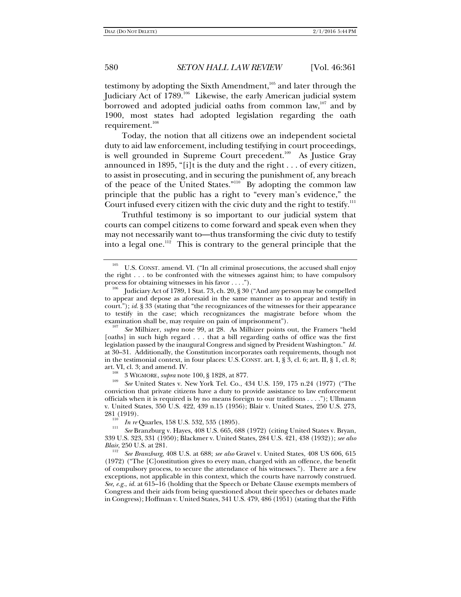testimony by adopting the Sixth Amendment,<sup>105</sup> and later through the Judiciary Act of 1789.<sup>106</sup> Likewise, the early American judicial system borrowed and adopted judicial oaths from common law,<sup>107</sup> and by 1900, most states had adopted legislation regarding the oath requirement.<sup>108</sup>

Today, the notion that all citizens owe an independent societal duty to aid law enforcement, including testifying in court proceedings, is well grounded in Supreme Court precedent.<sup>109</sup> As Justice Gray announced in 1895, "[i]t is the duty and the right . . . of every citizen, to assist in prosecuting, and in securing the punishment of, any breach of the peace of the United States."110 By adopting the common law principle that the public has a right to "every man's evidence," the Court infused every citizen with the civic duty and the right to testify.<sup>111</sup>

Truthful testimony is so important to our judicial system that courts can compel citizens to come forward and speak even when they may not necessarily want to—thus transforming the civic duty to testify into a legal one.<sup>112</sup> This is contrary to the general principle that the

conviction that private citizens have a duty to provide assistance to law enforcement officials when it is required is by no means foreign to our traditions . . . ."); Ullmann v. United States, 350 U.S. 422, 439 n.15 (1956); Blair v. United States, 250 U.S. 273,

<sup>110</sup> *In re* Quarles, 158 U.S. 532, 535 (1895).

<sup>112</sup> *See Branzburg*, 408 U.S. at 688; *see also* Gravel v. United States, 408 US 606, 615 (1972) ("The [C]onstitution gives to every man, charged with an offence, the benefit of compulsory process, to secure the attendance of his witnesses."). There are a few exceptions, not applicable in this context, which the courts have narrowly construed. *See, e.g.*, *id.* at 615–16 (holding that the Speech or Debate Clause exempts members of Congress and their aids from being questioned about their speeches or debates made in Congress); Hoffman v. United States, 341 U.S. 479, 486 (1951) (stating that the Fifth

 $105$  U.S. CONST. amend. VI. ("In all criminal prosecutions, the accused shall enjoy the right . . . to be confronted with the witnesses against him; to have compulsory process for obtaining witnesses in his favor . . . .").

Judiciary Act of 1789, 1 Stat. 73, ch. 20, § 30 ("And any person may be compelled to appear and depose as aforesaid in the same manner as to appear and testify in court."); *id.* § 33 (stating that "the recognizances of the witnesses for their appearance to testify in the case; which recognizances the magistrate before whom the examination shall be, may require on pain of imprisonment").

*See* Milhizer, *supra* note 99, at 28.As Milhizer points out, the Framers "held [oaths] in such high regard . . . that a bill regarding oaths of office was the first legislation passed by the inaugural Congress and signed by President Washington." *Id.* at 30–31. Additionally, the Constitution incorporates oath requirements, though not in the testimonial context, in four places: U.S. CONST. art. I, § 3, cl. 6; art. II, § 1, cl. 8; art. VI, cl. 3; and amend. IV.<br><sup>108</sup> 3 WIGMORE, *supra* note 100, § 1828, at 877.<br><sup>109</sup> *See* United States v. New York Tel. Co., 434 U.S. 159, 175 n.24 (1977) ("The

*See* Branzburg v. Hayes, 408 U.S. 665, 688 (1972) (citing United States v. Bryan, 339 U.S. 323, 331 (1950); Blackmer v. United States, 284 U.S. 421, 438 (1932)); *see also*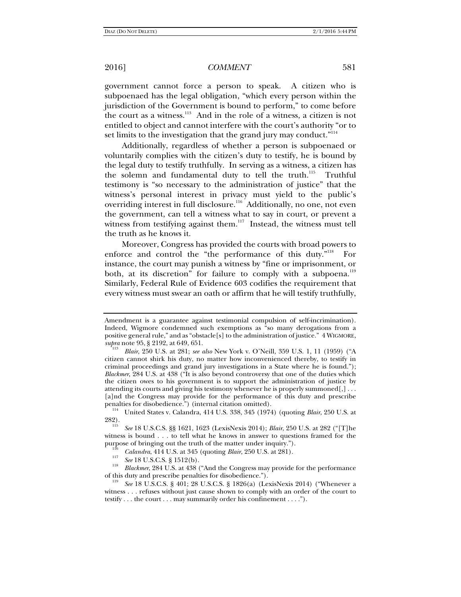government cannot force a person to speak. A citizen who is subpoenaed has the legal obligation, "which every person within the jurisdiction of the Government is bound to perform," to come before the court as a witness.<sup>113</sup> And in the role of a witness, a citizen is not entitled to object and cannot interfere with the court's authority "or to set limits to the investigation that the grand jury may conduct."<sup>114</sup>

Additionally, regardless of whether a person is subpoenaed or voluntarily complies with the citizen's duty to testify, he is bound by the legal duty to testify truthfully. In serving as a witness, a citizen has the solemn and fundamental duty to tell the truth.<sup>115</sup> Truthful testimony is "so necessary to the administration of justice" that the witness's personal interest in privacy must yield to the public's overriding interest in full disclosure.116 Additionally, no one, not even the government, can tell a witness what to say in court, or prevent a witness from testifying against them. $117$  Instead, the witness must tell the truth as he knows it.

Moreover, Congress has provided the courts with broad powers to enforce and control the "the performance of this duty."<sup>118</sup> For instance, the court may punish a witness by "fine or imprisonment, or both, at its discretion" for failure to comply with a subpoena.<sup>119</sup> Similarly, Federal Rule of Evidence 603 codifies the requirement that every witness must swear an oath or affirm that he will testify truthfully,

Amendment is a guarantee against testimonial compulsion of self-incrimination). Indeed, Wigmore condemned such exemptions as "so many derogations from a positive general rule," and as "obstacle[s] to the administration of justice." 4 WIGMORE, *supra* note 95, § 2192, at 649, 651. 113 *Blair*, 250 U.S. at 281; *see also* New York v. O'Neill, 359 U.S. 1, 11 (1959) ("A

citizen cannot shirk his duty, no matter how inconvenienced thereby, to testify in criminal proceedings and grand jury investigations in a State where he is found."); *Blackmer*, 284 U.S. at 438 ("It is also beyond controversy that one of the duties which the citizen owes to his government is to support the administration of justice by attending its courts and giving his testimony whenever he is properly summoned $[,] \ldots$ [a]nd the Congress may provide for the performance of this duty and prescribe

<sup>&</sup>lt;sup>114</sup> United States v. Calandra, 414 U.S. 338, 345 (1974) (quoting *Blair*, 250 U.S. at 282). 115 *See* 18 U.S.C.S. §§ 1621, 1623 (LexisNexis 2014); *Blair*, 250 U.S. at 282 ("[T]he

witness is bound . . . to tell what he knows in answer to questions framed for the purpose of bringing out the truth of the matter under inquiry.").<br>
<sup>116</sup> *Calandra*, 414 U.S. at 345 (quoting *Blair*, 250 U.S. at 281).<br>
<sup>117</sup> *See* 18 U.S.C.S. § 1512(b).<br>
<sup>118</sup> *PL*<sub>1</sub> *b*<sub>1</sub> mg, 204 U.S. 44 degrees are

<sup>&</sup>lt;sup>118</sup> *Blackmer*, 284 U.S. at 438 ("And the Congress may provide for the performance of this duty and prescribe penalties for disobedience.").

See 18 U.S.C.S. § 401; 28 U.S.C.S. § 1826(a) (LexisNexis 2014) ("Whenever a witness . . . refuses without just cause shown to comply with an order of the court to testify . . . the court . . . may summarily order his confinement . . . .").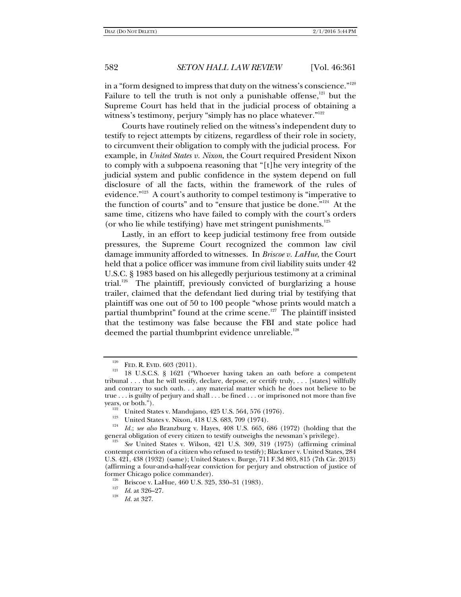in a "form designed to impress that duty on the witness's conscience." $120$ Failure to tell the truth is not only a punishable offense, $121$  but the Supreme Court has held that in the judicial process of obtaining a witness's testimony, perjury "simply has no place whatever."<sup>122</sup>

Courts have routinely relied on the witness's independent duty to testify to reject attempts by citizens, regardless of their role in society, to circumvent their obligation to comply with the judicial process. For example, in *United States v. Nixon*, the Court required President Nixon to comply with a subpoena reasoning that "[t]he very integrity of the judicial system and public confidence in the system depend on full disclosure of all the facts, within the framework of the rules of evidence."<sup>123</sup> A court's authority to compel testimony is "imperative to the function of courts" and to "ensure that justice be done."124 At the same time, citizens who have failed to comply with the court's orders (or who lie while testifying) have met stringent punishments. $125$ 

Lastly, in an effort to keep judicial testimony free from outside pressures, the Supreme Court recognized the common law civil damage immunity afforded to witnesses. In *Briscoe v. LaHue*, the Court held that a police officer was immune from civil liability suits under 42 U.S.C. § 1983 based on his allegedly perjurious testimony at a criminal trial.<sup>126</sup> The plaintiff, previously convicted of burglarizing a house trailer, claimed that the defendant lied during trial by testifying that plaintiff was one out of 50 to 100 people "whose prints would match a partial thumbprint" found at the crime scene. $127$  The plaintiff insisted that the testimony was false because the FBI and state police had deemed the partial thumbprint evidence unreliable.<sup>128</sup>

<sup>&</sup>lt;sup>120</sup> FED. R. EVID. 603 (2011).<br><sup>121</sup> 18 U.S.C.S. § 1621 ("Whoever having taken an oath before a competent tribunal . . . that he will testify, declare, depose, or certify truly, . . . [states] willfully and contrary to such oath. . . any material matter which he does not believe to be true . . . is guilty of perjury and shall . . . be fined . . . or imprisoned not more than five years, or both.").<br>
<sup>122</sup> United States v. Mandujano, 425 U.S. 564, 576 (1976).<br>
<sup>123</sup> United States v. Nixon, 418 U.S. 683, 709 (1974).<br>
<sup>124</sup> *Id.; see also* Branzburg v. Haves, 408 U.S. 665, 686 (1972) (holding that th

general obligation of every citizen to testify outweighs the newsman's privilege).

*See* United States v. Wilson, 421 U.S. 309, 319 (1975) (affirming criminal contempt conviction of a citizen who refused to testify); Blackmer v. United States, 284 U.S. 421, 438 (1932) (same); United States v. Burge, 711 F.3d 803, 815 (7th Cir. 2013) (affirming a four-and-a-half-year conviction for perjury and obstruction of justice of

<sup>&</sup>lt;sup>126</sup> Briscoe v. LaHue, 460 U.S. 325, 330–31 (1983).<br> *Id.* at 326–27.<br>
<sup>128</sup> *Id.* at 326–27.

*Id.* at 327.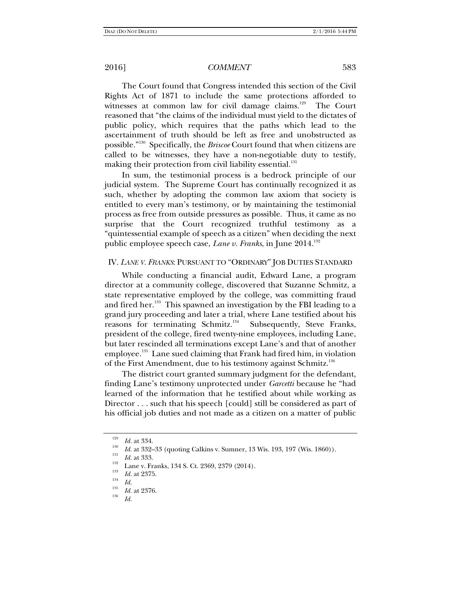The Court found that Congress intended this section of the Civil Rights Act of 1871 to include the same protections afforded to witnesses at common law for civil damage claims.<sup>129</sup> The Court reasoned that "the claims of the individual must yield to the dictates of public policy, which requires that the paths which lead to the ascertainment of truth should be left as free and unobstructed as possible."130 Specifically, the *Briscoe* Court found that when citizens are called to be witnesses, they have a non-negotiable duty to testify, making their protection from civil liability essential.<sup>131</sup>

In sum, the testimonial process is a bedrock principle of our judicial system. The Supreme Court has continually recognized it as such, whether by adopting the common law axiom that society is entitled to every man's testimony, or by maintaining the testimonial process as free from outside pressures as possible. Thus, it came as no surprise that the Court recognized truthful testimony as a "quintessential example of speech as a citizen" when deciding the next public employee speech case, *Lane v. Franks*, in June 2014.132

### IV. *LANE V. FRANKS*: PURSUANT TO "ORDINARY" JOB DUTIES STANDARD

While conducting a financial audit, Edward Lane, a program director at a community college, discovered that Suzanne Schmitz, a state representative employed by the college, was committing fraud and fired her.<sup>133</sup> This spawned an investigation by the FBI leading to a grand jury proceeding and later a trial, where Lane testified about his reasons for terminating Schmitz.<sup>134</sup> Subsequently, Steve Franks, president of the college, fired twenty-nine employees, including Lane, but later rescinded all terminations except Lane's and that of another employee.<sup>135</sup> Lane sued claiming that Frank had fired him, in violation of the First Amendment, due to his testimony against Schmitz.136

The district court granted summary judgment for the defendant, finding Lane's testimony unprotected under *Garcetti* because he "had learned of the information that he testified about while working as Director . . . such that his speech [could] still be considered as part of his official job duties and not made as a citizen on a matter of public

<sup>129</sup>

*Id.* at 334. *Id.* at 332–33 (quoting Calkins v. Sumner, 13 Wis. 193, 197 (Wis. 1860)).<br> *Id.* at 333. <br>
Lane v. Franks, 134 S. Ct. 2369, 2379 (2014).<br>
<sup>133</sup> *Id.* at 2375. *Id.* 134 S. Ct. 2369, 2379 (2014).

<sup>&</sup>lt;sup>135</sup>*Id.* at 2376.

*Id.*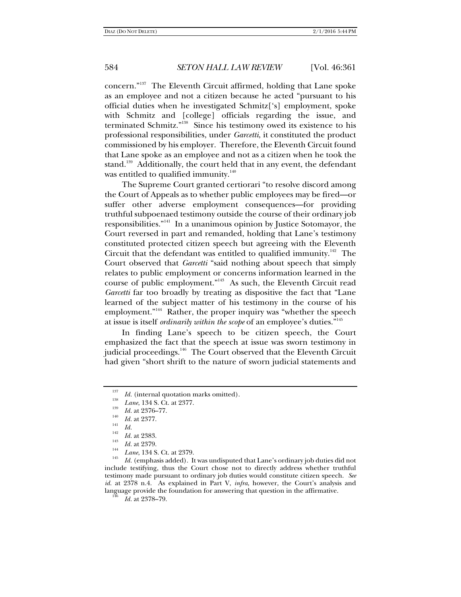concern."137 The Eleventh Circuit affirmed, holding that Lane spoke as an employee and not a citizen because he acted "pursuant to his official duties when he investigated Schmitz['s] employment, spoke with Schmitz and [college] officials regarding the issue, and terminated Schmitz."138 Since his testimony owed its existence to his professional responsibilities, under *Garcetti*, it constituted the product commissioned by his employer. Therefore, the Eleventh Circuit found that Lane spoke as an employee and not as a citizen when he took the stand.<sup>139</sup> Additionally, the court held that in any event, the defendant was entitled to qualified immunity. $140$ 

The Supreme Court granted certiorari "to resolve discord among the Court of Appeals as to whether public employees may be fired—or suffer other adverse employment consequences—for providing truthful subpoenaed testimony outside the course of their ordinary job responsibilities."141 In a unanimous opinion by Justice Sotomayor, the Court reversed in part and remanded, holding that Lane's testimony constituted protected citizen speech but agreeing with the Eleventh Circuit that the defendant was entitled to qualified immunity.<sup>142</sup> The Court observed that *Garcetti* "said nothing about speech that simply relates to public employment or concerns information learned in the course of public employment."143 As such, the Eleventh Circuit read *Garcetti* far too broadly by treating as dispositive the fact that "Lane learned of the subject matter of his testimony in the course of his employment."<sup>144</sup> Rather, the proper inquiry was "whether the speech at issue is itself *ordinarily within the scope* of an employee's duties."145

In finding Lane's speech to be citizen speech, the Court emphasized the fact that the speech at issue was sworn testimony in judicial proceedings.<sup>146</sup> The Court observed that the Eleventh Circuit had given "short shrift to the nature of sworn judicial statements and

<sup>145</sup> Id. (emphasis added). It was undisputed that Lane's ordinary job duties did not include testifying, thus the Court chose not to directly address whether truthful testimony made pursuant to ordinary job duties would constitute citizen speech. *See id.* at 2378 n.4. As explained in Part V, *infra*, however, the Court's analysis and language provide the foundation for answering that question in the affirmative.

*Id.* at 2378–79.

<sup>137</sup> *I<sup>38</sup> Id.* (internal quotation marks omitted).<br>
<sup>138</sup> *Lane*, 134 S. Ct. at 2377.<br>
<sup>139</sup> *Id.* at 2376–77.<br>
<sup>140</sup> *Id.* at 2377.<br>
<sup>141</sup> *Id.* 

 $\frac{142}{143}$  *Id.* at 2383.

<sup>&</sup>lt;sup>143</sup> *Id.* at 2379.<br><sup>144</sup> *Lane*, 134 S. Ct. at 2379.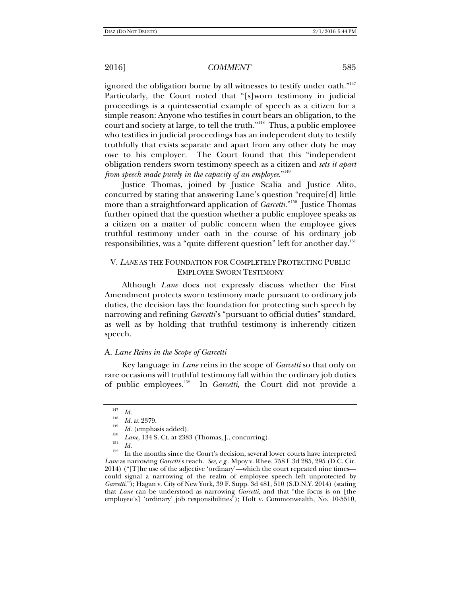ignored the obligation borne by all witnesses to testify under oath."<sup>147</sup> Particularly, the Court noted that "[s]worn testimony in judicial proceedings is a quintessential example of speech as a citizen for a simple reason: Anyone who testifies in court bears an obligation, to the court and society at large, to tell the truth."<sup>148</sup> Thus, a public employee who testifies in judicial proceedings has an independent duty to testify truthfully that exists separate and apart from any other duty he may owe to his employer. The Court found that this "independent obligation renders sworn testimony speech as a citizen and *sets it apart from speech made purely in the capacity of an employee*."149

Justice Thomas, joined by Justice Scalia and Justice Alito, concurred by stating that answering Lane's question "require[d] little more than a straightforward application of *Garcetti*."<sup>150</sup> Justice Thomas further opined that the question whether a public employee speaks as a citizen on a matter of public concern when the employee gives truthful testimony under oath in the course of his ordinary job responsibilities, was a "quite different question" left for another day.<sup>151</sup>

# V. *LANE* AS THE FOUNDATION FOR COMPLETELY PROTECTING PUBLIC EMPLOYEE SWORN TESTIMONY

Although *Lane* does not expressly discuss whether the First Amendment protects sworn testimony made pursuant to ordinary job duties, the decision lays the foundation for protecting such speech by narrowing and refining *Garcetti*'s "pursuant to official duties" standard, as well as by holding that truthful testimony is inherently citizen speech.

### A. *Lane Reins in the Scope of Garcetti*

Key language in *Lane* reins in the scope of *Garcetti* so that only on rare occasions will truthful testimony fall within the ordinary job duties of public employees.152 In *Garcetti*, the Court did not provide a

<sup>&</sup>lt;sup>147</sup> *Id.*<br><sup>148</sup> *Id.* at 2379.

*Id.* (emphasis added). *Lane*, 134 S. Ct. at 2383 (Thomas, J., concurring). *Id.* 

<sup>&</sup>lt;sup>152</sup> In the months since the Court's decision, several lower courts have interpreted *Lane* as narrowing *Garcetti*'s reach. *See, e.g.*, Mpoy v. Rhee, 758 F.3d 285, 295 (D.C. Cir. 2014) ("[T]he use of the adjective 'ordinary'—which the court repeated nine times could signal a narrowing of the realm of employee speech left unprotected by *Garcetti*."); Hagan v. City of New York, 39 F. Supp. 3d 481, 510 (S.D.N.Y. 2014) (stating that *Lane* can be understood as narrowing *Garcetti*, and that "the focus is on [the employee's] 'ordinary' job responsibilities"); Holt v. Commonwealth, No. 10-5510,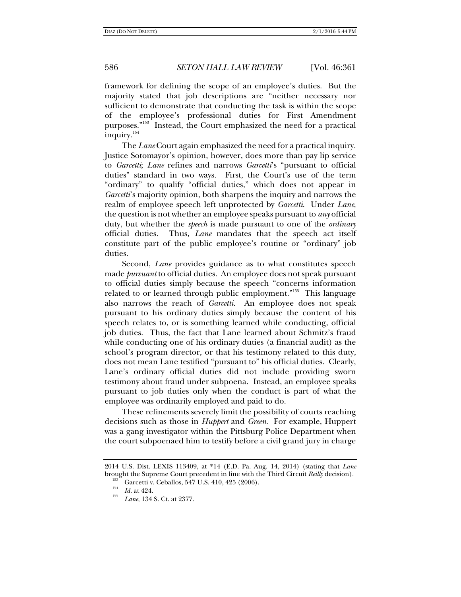framework for defining the scope of an employee's duties. But the majority stated that job descriptions are "neither necessary nor sufficient to demonstrate that conducting the task is within the scope of the employee's professional duties for First Amendment purposes."153 Instead, the Court emphasized the need for a practical inquiry.<sup>154</sup>

The *Lane* Court again emphasized the need for a practical inquiry. Justice Sotomayor's opinion, however, does more than pay lip service to *Garcetti*; *Lane* refines and narrows *Garcetti*'s "pursuant to official duties" standard in two ways. First, the Court's use of the term "ordinary" to qualify "official duties," which does not appear in *Garcetti*'s majority opinion, both sharpens the inquiry and narrows the realm of employee speech left unprotected by *Garcetti*. Under *Lane*, the question is not whether an employee speaks pursuant to *any* official duty, but whether the *speech* is made pursuant to one of the *ordinary* official duties. Thus, *Lane* mandates that the speech act itself constitute part of the public employee's routine or "ordinary" job duties.

Second, *Lane* provides guidance as to what constitutes speech made *pursuant* to official duties. An employee does not speak pursuant to official duties simply because the speech "concerns information related to or learned through public employment."<sup>155</sup> This language also narrows the reach of *Garcetti*. An employee does not speak pursuant to his ordinary duties simply because the content of his speech relates to, or is something learned while conducting, official job duties. Thus, the fact that Lane learned about Schmitz's fraud while conducting one of his ordinary duties (a financial audit) as the school's program director, or that his testimony related to this duty, does not mean Lane testified "pursuant to" his official duties. Clearly, Lane's ordinary official duties did not include providing sworn testimony about fraud under subpoena. Instead, an employee speaks pursuant to job duties only when the conduct is part of what the employee was ordinarily employed and paid to do.

These refinements severely limit the possibility of courts reaching decisions such as those in *Huppert* and *Green*. For example, Huppert was a gang investigator within the Pittsburg Police Department when the court subpoenaed him to testify before a civil grand jury in charge

<sup>2014</sup> U.S. Dist. LEXIS 113409, at \*14 (E.D. Pa. Aug. 14, 2014) (stating that *Lane* brought the Supreme Court precedent in line with the Third Circuit *Reilly* decision).<br><sup>153</sup> Garcetti v. Ceballos, 547 U.S. 410, 425 (2006).<br><sup>154</sup> *Id.* at 424.<br><sup>155</sup> *Lane*, 134 S. Ct. at 2377.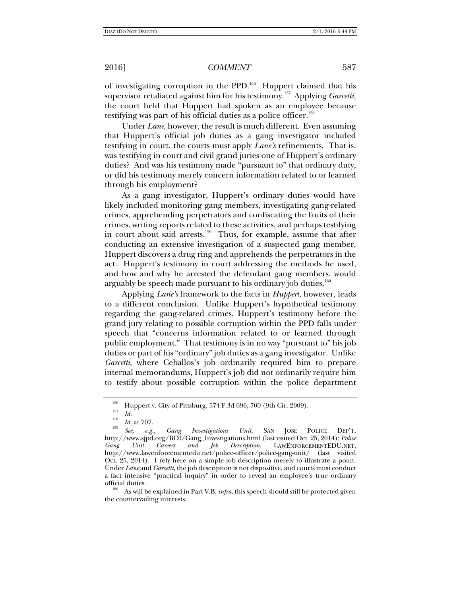of investigating corruption in the PPD.<sup>156</sup> Huppert claimed that his supervisor retaliated against him for his testimony.157 Applying *Garcetti*, the court held that Huppert had spoken as an employee because testifying was part of his official duties as a police officer.<sup>158</sup>

Under *Lane*, however, the result is much different. Even assuming that Huppert's official job duties as a gang investigator included testifying in court, the courts must apply *Lane's* refinements. That is, was testifying in court and civil grand juries one of Huppert's ordinary duties? And was his testimony made "pursuant to" that ordinary duty, or did his testimony merely concern information related to or learned through his employment?

As a gang investigator, Huppert's ordinary duties would have likely included monitoring gang members, investigating gang-related crimes, apprehending perpetrators and confiscating the fruits of their crimes, writing reports related to these activities, and perhaps testifying in court about said arrests.<sup>159</sup> Thus, for example, assume that after conducting an extensive investigation of a suspected gang member, Huppert discovers a drug ring and apprehends the perpetrators in the act. Huppert's testimony in court addressing the methods he used, and how and why he arrested the defendant gang members, would arguably be speech made pursuant to his ordinary job duties.<sup>160</sup>

Applying *Lane's* framework to the facts in *Huppert*, however, leads to a different conclusion. Unlike Huppert's hypothetical testimony regarding the gang-related crimes, Huppert's testimony before the grand jury relating to possible corruption within the PPD falls under speech that "concerns information related to or learned through public employment." That testimony is in no way "pursuant to" his job duties or part of his "ordinary" job duties as a gang investigator. Unlike *Garcetti*, where Ceballos's job ordinarily required him to prepare internal memorandums, Huppert's job did not ordinarily require him to testify about possible corruption within the police department

<sup>&</sup>lt;sup>156</sup> Huppert v. City of Pittsburg, 574 F.3d 696, 700 (9th Cir. 2009).<br> *Id.* 

<sup>&</sup>lt;sup>158</sup>*Id.* at 707.<br> *See, e.g.*, Gang Investigations Unit, SAN JOSE POLICE DEP'T, http://www.sjpd.org/BOI/Gang\_Investigations.html (last visited Oct. 25, 2014); *Police Gang Unit Careers and Job Description*, LAWENFORCEMENTEDU.NET, http://www.lawenforcementedu.net/police-officer/police-gang-unit/ (last visited Oct. 25, 2014). I rely here on a simple job description merely to illustrate a point. Under *Lane* and *Garcetti*, the job description is not dispositive, and courts must conduct a fact intensive "practical inquiry" in order to reveal an employee's true ordinary official duties. 160 As will be explained in Part V.B, *infra*, this speech should still be protected given

the countervailing interests.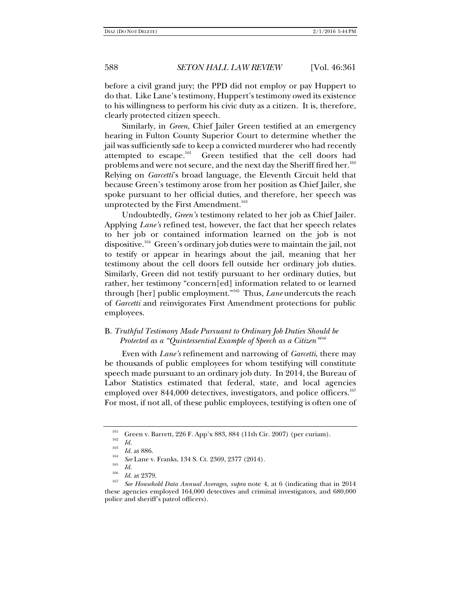before a civil grand jury; the PPD did not employ or pay Huppert to do that. Like Lane's testimony, Huppert's testimony owed its existence to his willingness to perform his civic duty as a citizen. It is, therefore, clearly protected citizen speech.

Similarly, in *Green*, Chief Jailer Green testified at an emergency hearing in Fulton County Superior Court to determine whether the jail was sufficiently safe to keep a convicted murderer who had recently attempted to escape.<sup>161</sup> Green testified that the cell doors had problems and were not secure, and the next day the Sheriff fired her.<sup>162</sup> Relying on *Garcetti*'s broad language, the Eleventh Circuit held that because Green's testimony arose from her position as Chief Jailer, she spoke pursuant to her official duties, and therefore, her speech was unprotected by the First Amendment.<sup>163</sup>

Undoubtedly, *Green's* testimony related to her job as Chief Jailer. Applying *Lane's* refined test, however, the fact that her speech relates to her job or contained information learned on the job is not dispositive.<sup>164</sup> Green's ordinary job duties were to maintain the jail, not to testify or appear in hearings about the jail, meaning that her testimony about the cell doors fell outside her ordinary job duties. Similarly, Green did not testify pursuant to her ordinary duties, but rather, her testimony "concern[ed] information related to or learned through [her] public employment."165 Thus, *Lane* undercuts the reach of *Garcetti* and reinvigorates First Amendment protections for public employees.

# B. *Truthful Testimony Made Pursuant to Ordinary Job Duties Should be Protected as a "Quintessential Example of Speech as a Citizen"<sup>166</sup>*

Even with *Lane's* refinement and narrowing of *Garcetti*, there may be thousands of public employees for whom testifying will constitute speech made pursuant to an ordinary job duty. In 2014, the Bureau of Labor Statistics estimated that federal, state, and local agencies employed over 844,000 detectives, investigators, and police officers.<sup>167</sup> For most, if not all, of these public employees, testifying is often one of

<sup>&</sup>lt;sup>161</sup> Green v. Barrett, 226 F. App'x 883, 884 (11th Cir. 2007) (per curiam).<br>
<sup>163</sup> *Id.* <sup>163</sup>

<sup>&</sup>lt;sup>163</sup> *Id.* at 886.<br><sup>164</sup> *See* Lane v. Franks, 134 S. Ct. 2369, 2377 (2014).

<sup>&</sup>lt;sup>165</sup> Id.<br><sup>166</sup> Id. at 2379.<br><sup>167</sup> *See Household Data Annual Averages, supra* note 4, at 6 (indicating that in 2014 these agencies employed 164,000 detectives and criminal investigators, and 680,000 police and sheriff's patrol officers).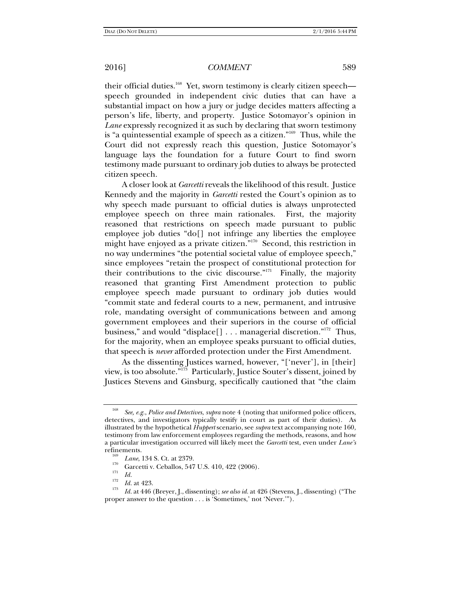their official duties.<sup>168</sup> Yet, sworn testimony is clearly citizen speech speech grounded in independent civic duties that can have a substantial impact on how a jury or judge decides matters affecting a person's life, liberty, and property. Justice Sotomayor's opinion in *Lane* expressly recognized it as such by declaring that sworn testimony is "a quintessential example of speech as a citizen."169Thus, while the Court did not expressly reach this question, Justice Sotomayor's language lays the foundation for a future Court to find sworn testimony made pursuant to ordinary job duties to always be protected citizen speech.

A closer look at *Garcetti* reveals the likelihood of this result. Justice Kennedy and the majority in *Garcetti* rested the Court's opinion as to why speech made pursuant to official duties is always unprotected employee speech on three main rationales. First, the majority reasoned that restrictions on speech made pursuant to public employee job duties "do[] not infringe any liberties the employee might have enjoyed as a private citizen."170 Second, this restriction in no way undermines "the potential societal value of employee speech," since employees "retain the prospect of constitutional protection for their contributions to the civic discourse."<sup>171</sup> Finally, the majority reasoned that granting First Amendment protection to public employee speech made pursuant to ordinary job duties would "commit state and federal courts to a new, permanent, and intrusive role, mandating oversight of communications between and among government employees and their superiors in the course of official business," and would "displace[] . . . managerial discretion."<sup>172</sup> Thus, for the majority, when an employee speaks pursuant to official duties, that speech is *never* afforded protection under the First Amendment.

As the dissenting Justices warned, however, "['never'], in [their] view, is too absolute."173 Particularly, Justice Souter's dissent, joined by Justices Stevens and Ginsburg, specifically cautioned that "the claim

<sup>168</sup> *See, e.g.*, *Police and Detectives*, *supra* note 4 (noting that uniformed police officers, detectives, and investigators typically testify in court as part of their duties). As illustrated by the hypothetical *Huppert* scenario, see *supra* text accompanying note 160, testimony from law enforcement employees regarding the methods, reasons, and how a particular investigation occurred will likely meet the *Garcetti* test, even under *Lane's*

<sup>&</sup>lt;sup>109</sup> *Lane*, 134 S. Ct. at 2379.<br><sup>170</sup> Garcetti v. Ceballos, 547 U.S. 410, 422 (2006).<br>*171 Id.* 

<sup>&</sup>lt;sup>172</sup> *Id.* at 423.

*Id.* at 446 (Breyer, J., dissenting); *see also id.* at 426 (Stevens, J., dissenting) ("The proper answer to the question . . . is 'Sometimes,' not 'Never.'").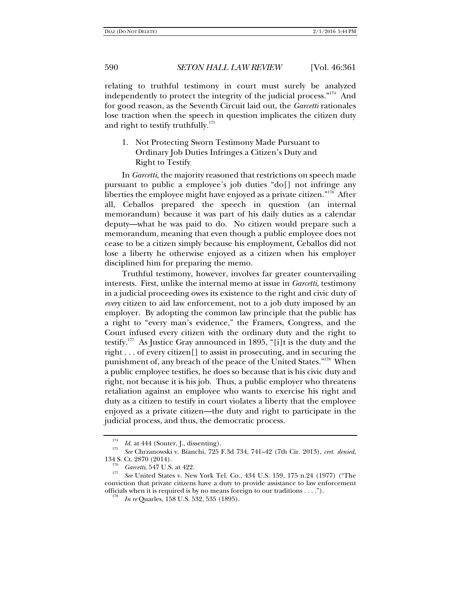relating to truthful testimony in court must surely be analyzed independently to protect the integrity of the judicial process. $n_{14}$  And for good reason, as the Seventh Circuit laid out, the *Garcetti* rationales lose traction when the speech in question implicates the citizen duty and right to testify truthfully. $175$ 

1. Not Protecting Sworn Testimony Made Pursuant to Ordinary Job Duties Infringes a Citizen's Duty and Right to Testify

In *Garcetti*, the majority reasoned that restrictions on speech made pursuant to public a employee's job duties "do[] not infringe any liberties the employee might have enjoyed as a private citizen."176 After all, Ceballos prepared the speech in question (an internal memorandum) because it was part of his daily duties as a calendar deputy—what he was paid to do. No citizen would prepare such a memorandum, meaning that even though a public employee does not cease to be a citizen simply because his employment, Ceballos did not lose a liberty he otherwise enjoyed as a citizen when his employer disciplined him for preparing the memo.

Truthful testimony, however, involves far greater countervailing interests. First, unlike the internal memo at issue in *Garcetti*, testimony in a judicial proceeding owes its existence to the right and civic duty of *every* citizen to aid law enforcement, not to a job duty imposed by an employer. By adopting the common law principle that the public has a right to "every man's evidence," the Framers, Congress, and the Court infused every citizen with the ordinary duty and the right to testify.<sup>177</sup> As Justice Gray announced in 1895, "[i]t is the duty and the right . . . of every citizen[] to assist in prosecuting, and in securing the punishment of, any breach of the peace of the United States."<sup>178</sup> When a public employee testifies, he does so because that is his civic duty and right, not because it is his job. Thus, a public employer who threatens retaliation against an employee who wants to exercise his right and duty as a citizen to testify in court violates a liberty that the employee enjoyed as a private citizen—the duty and right to participate in the judicial process, and thus, the democratic process.

<sup>174</sup>

*I<sup>14</sup> Id.* at 444 (Souter, J., dissenting).<br><sup>175</sup> *See* Chrzanowski v. Bianchi, 725 F.3d 734, 741–42 (7th Cir. 2013), *cert. denied*, 134 S. Ct. 2870 (2014).

<sup>&</sup>lt;sup>176</sup> *Garcetti*, 547 U.S. at 422.<br><sup>177</sup> *See* United States v. New York Tel. Co., 434 U.S. 159, 175 n.24 (1977) ("The conviction that private citizens have a duty to provide assistance to law enforcement officials when it is required is by no means foreign to our traditions  $\dots$ ").

*In re* Quarles, 158 U.S. 532, 535 (1895).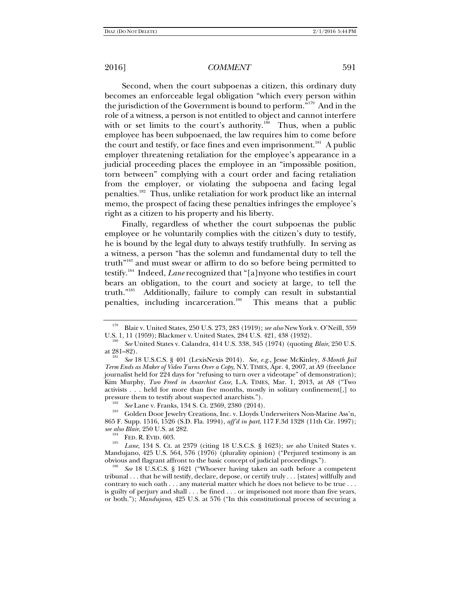Second, when the court subpoenas a citizen, this ordinary duty becomes an enforceable legal obligation "which every person within the jurisdiction of the Government is bound to perform."179 And in the role of a witness, a person is not entitled to object and cannot interfere with or set limits to the court's authority.<sup>180</sup> Thus, when a public employee has been subpoenaed, the law requires him to come before the court and testify, or face fines and even imprisonment.<sup>181</sup> A public employer threatening retaliation for the employee's appearance in a judicial proceeding places the employee in an "impossible position, torn between" complying with a court order and facing retaliation from the employer, or violating the subpoena and facing legal penalties.182 Thus, unlike retaliation for work product like an internal memo, the prospect of facing these penalties infringes the employee's right as a citizen to his property and his liberty.

Finally, regardless of whether the court subpoenas the public employee or he voluntarily complies with the citizen's duty to testify, he is bound by the legal duty to always testify truthfully. In serving as a witness, a person "has the solemn and fundamental duty to tell the truth"183 and must swear or affirm to do so before being permitted to testify.184 Indeed, *Lane* recognized that "[a]nyone who testifies in court bears an obligation, to the court and society at large, to tell the truth."185 Additionally, failure to comply can result in substantial penalties, including incarceration.<sup>186</sup> This means that a public

865 F. Supp. 1516, 1526 (S.D. Fla. 1994), *aff'd in part*, 117 F.3d 1328 (11th Cir. 1997);

<sup>&</sup>lt;sup>179</sup> Blair v. United States, 250 U.S. 273, 283 (1919); *see also* New York v. O'Neill, 359 U.S. 1, 11 (1959); Blackmer v. United States, 284 U.S. 421, 438 (1932).

<sup>&</sup>lt;sup>180</sup> See United States v. Calandra, 414 U.S. 338, 345 (1974) (quoting *Blair*, 250 U.S. at 281–82).

at 281–82). 181 *See* 18 U.S.C.S. § 401 (LexisNexis 2014). *See, e.g.*, Jesse McKinley, *8-Month Jail Term Ends as Maker of Video Turns Over a Copy*, N.Y. TIMES, Apr. 4, 2007, at A9 (freelance journalist held for 224 days for "refusing to turn over a videotape" of demonstration); Kim Murphy, *Two Freed in Anarchist Case*, L.A. TIMES, Mar. 1, 2013, at A8 ("Two activists . . . held for more than five months, mostly in solitary confinement[,] to pressure them to testify about suspected anarchists.").<br><sup>182</sup> *See* Lane v. Franks, 134 S. Ct. 2369, 2380 (2014).<br><sup>183</sup> Golden Door Jewelry Creations, Inc. v. Lloyds Underwriters Non-Marine Ass'n,

*see also Blair*, 250 U.S. at 282. 184 FED. R. EVID. 603. 185 *Lane*, 134 S. Ct. at 2379 (citing 18 U.S.C.S. § 1623); *see also* United States v. Mandujano, 425 U.S. 564, 576 (1976) (plurality opinion) ("Perjured testimony is an obvious and flagrant affront to the basic concept of judicial proceedings."). 186 *See* 18 U.S.C.S. § 1621 ("Whoever having taken an oath before a competent

tribunal . . . that he will testify, declare, depose, or certify truly . . . [states] willfully and contrary to such oath . . . any material matter which he does not believe to be true . . . is guilty of perjury and shall . . . be fined . . . or imprisoned not more than five years, or both."); *Mandujano*, 425 U.S. at 576 ("In this constitutional process of securing a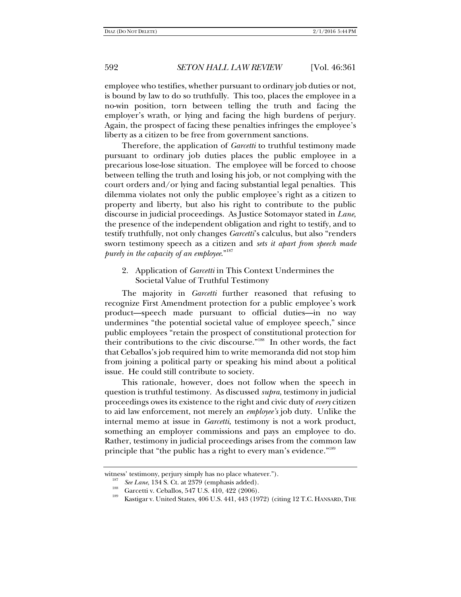employee who testifies, whether pursuant to ordinary job duties or not, is bound by law to do so truthfully. This too, places the employee in a no-win position, torn between telling the truth and facing the employer's wrath, or lying and facing the high burdens of perjury. Again, the prospect of facing these penalties infringes the employee's liberty as a citizen to be free from government sanctions.

Therefore, the application of *Garcetti* to truthful testimony made pursuant to ordinary job duties places the public employee in a precarious lose-lose situation. The employee will be forced to choose between telling the truth and losing his job, or not complying with the court orders and/or lying and facing substantial legal penalties. This dilemma violates not only the public employee's right as a citizen to property and liberty, but also his right to contribute to the public discourse in judicial proceedings. As Justice Sotomayor stated in *Lane*, the presence of the independent obligation and right to testify, and to testify truthfully, not only changes *Garcetti*'s calculus, but also "renders sworn testimony speech as a citizen and *sets it apart from speech made purely in the capacity of an employee.*"<sup>187</sup>

2. Application of *Garcetti* in This Context Undermines the Societal Value of Truthful Testimony

The majority in *Garcetti* further reasoned that refusing to recognize First Amendment protection for a public employee's work product—speech made pursuant to official duties—in no way undermines "the potential societal value of employee speech," since public employees "retain the prospect of constitutional protection for their contributions to the civic discourse."188 In other words, the fact that Ceballos's job required him to write memoranda did not stop him from joining a political party or speaking his mind about a political issue. He could still contribute to society.

This rationale, however, does not follow when the speech in question is truthful testimony. As discussed *supra*, testimony in judicial proceedings owes its existence to the right and civic duty of *every* citizen to aid law enforcement, not merely an *employee's* job duty. Unlike the internal memo at issue in *Garcetti*, testimony is not a work product, something an employer commissions and pays an employee to do. Rather, testimony in judicial proceedings arises from the common law principle that "the public has a right to every man's evidence."<sup>189</sup>

witness' testimony, perjury simply has no place whatever.").<br>  $\frac{187}{187}$  See Lane, 134 S. Ct. at 2379 (emphasis added).

<sup>&</sup>lt;sup>188</sup> Garcetti v. Ceballos, 547 U.S. 410, 422 (2006).<br><sup>189</sup> Kastigar v. United States, 406 U.S. 441, 443 (1972) (citing 12 T.C. HANSARD, THE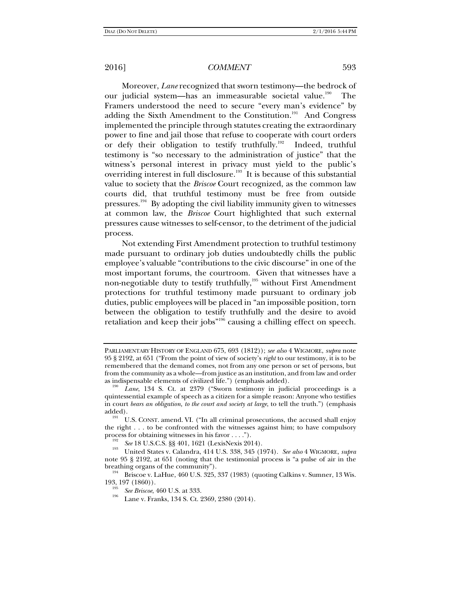Moreover, *Lane* recognized that sworn testimony—the bedrock of our judicial system—has an immeasurable societal value.<sup>190</sup> The Framers understood the need to secure "every man's evidence" by adding the Sixth Amendment to the Constitution.<sup>191</sup> And Congress implemented the principle through statutes creating the extraordinary power to fine and jail those that refuse to cooperate with court orders or defy their obligation to testify truthfully.<sup>192</sup> Indeed, truthful testimony is "so necessary to the administration of justice" that the witness's personal interest in privacy must yield to the public's overriding interest in full disclosure.<sup>193</sup> It is because of this substantial value to society that the *Briscoe* Court recognized, as the common law courts did, that truthful testimony must be free from outside pressures.194 By adopting the civil liability immunity given to witnesses at common law, the *Briscoe* Court highlighted that such external pressures cause witnesses to self-censor, to the detriment of the judicial process.

Not extending First Amendment protection to truthful testimony made pursuant to ordinary job duties undoubtedly chills the public employee's valuable "contributions to the civic discourse" in one of the most important forums, the courtroom. Given that witnesses have a non-negotiable duty to testify truthfully,<sup>195</sup> without First Amendment protections for truthful testimony made pursuant to ordinary job duties, public employees will be placed in "an impossible position, torn between the obligation to testify truthfully and the desire to avoid retaliation and keep their jobs"196 causing a chilling effect on speech.

PARLIAMENTARY HISTORY OF ENGLAND 675, 693 (1812)); *see also* 4 WIGMORE, *supra* note 95 § 2192, at 651 ("From the point of view of society's *right* to our testimony, it is to be remembered that the demand comes, not from any one person or set of persons, but from the community as a whole—from justice as an institution, and from law and order

Lane, 134 S. Ct. at 2379 ("Sworn testimony in judicial proceedings is a quintessential example of speech as a citizen for a simple reason: Anyone who testifies in court *bears an obligation, to the court and society at large*, to tell the truth.") (emphasis added).<br><sup>191</sup> U.S. CONST. amend. VI. ("In all criminal prosecutions, the accused shall enjoy

the right . . . to be confronted with the witnesses against him; to have compulsory process for obtaining witnesses in his favor . . . .").<br>  $See 18 \text{ U.S.C.S.}$  \$8 401, 1621 (LexisNexis 2014).

<sup>&</sup>lt;sup>193</sup> United States v. Calandra, 414 U.S. 338, 345 (1974). *See also* 4 WIGMORE, *supra* note 95 § 2192, at 651 (noting that the testimonial process is "a pulse of air in the

breathing organs of the community").<br><sup>194</sup> Briscoe v. LaHue, 460 U.S. 325, 337 (1983) (quoting Calkins v. Sumner, 13 Wis.<br>193, 197 (1860)).

<sup>&</sup>lt;sup>195</sup> *See Briscoe*, 460 U.S. at 333.<br><sup>196</sup> Lane v. Franks, 134 S. Ct. 2369, 2380 (2014).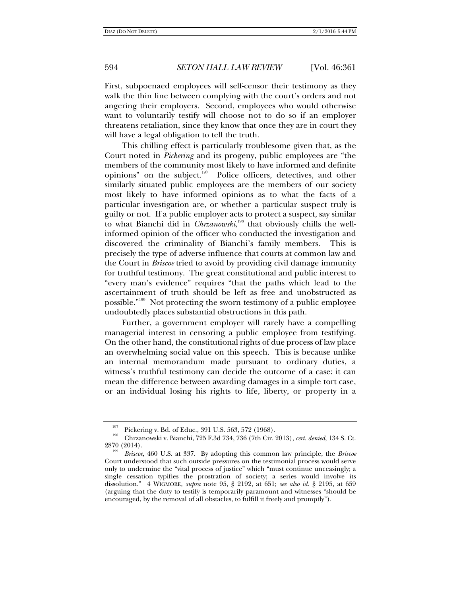First, subpoenaed employees will self-censor their testimony as they walk the thin line between complying with the court's orders and not angering their employers. Second, employees who would otherwise want to voluntarily testify will choose not to do so if an employer threatens retaliation, since they know that once they are in court they will have a legal obligation to tell the truth.

This chilling effect is particularly troublesome given that, as the Court noted in *Pickering* and its progeny, public employees are "the members of the community most likely to have informed and definite opinions" on the subject.<sup>197</sup> Police officers, detectives, and other similarly situated public employees are the members of our society most likely to have informed opinions as to what the facts of a particular investigation are, or whether a particular suspect truly is guilty or not. If a public employer acts to protect a suspect, say similar to what Bianchi did in *Chrzanowski*,<sup>198</sup> that obviously chills the wellinformed opinion of the officer who conducted the investigation and discovered the criminality of Bianchi's family members. This is precisely the type of adverse influence that courts at common law and the Court in *Briscoe* tried to avoid by providing civil damage immunity for truthful testimony. The great constitutional and public interest to "every man's evidence" requires "that the paths which lead to the ascertainment of truth should be left as free and unobstructed as possible."199 Not protecting the sworn testimony of a public employee undoubtedly places substantial obstructions in this path.

Further, a government employer will rarely have a compelling managerial interest in censoring a public employee from testifying. On the other hand, the constitutional rights of due process of law place an overwhelming social value on this speech. This is because unlike an internal memorandum made pursuant to ordinary duties, a witness's truthful testimony can decide the outcome of a case: it can mean the difference between awarding damages in a simple tort case, or an individual losing his rights to life, liberty, or property in a

<sup>&</sup>lt;sup>197</sup> Pickering v. Bd. of Educ., 391 U.S. 563, 572 (1968).<br><sup>198</sup> Chrzanowski v. Bianchi, 725 F.3d 734, 736 (7th Cir. 2013), *cert. denied*, 134 S. Ct.<br>2870 (2014).

<sup>2870 (2014). 199</sup> *Briscoe*, 460 U.S. at 337. By adopting this common law principle, the *Briscoe* Court understood that such outside pressures on the testimonial process would serve only to undermine the "vital process of justice" which "must continue unceasingly; a single cessation typifies the prostration of society; a series would involve its dissolution." 4 WIGMORE, *supra* note 95, § 2192, at 651; *see also id.* § 2195, at 659 (arguing that the duty to testify is temporarily paramount and witnesses "should be encouraged, by the removal of all obstacles, to fulfill it freely and promptly").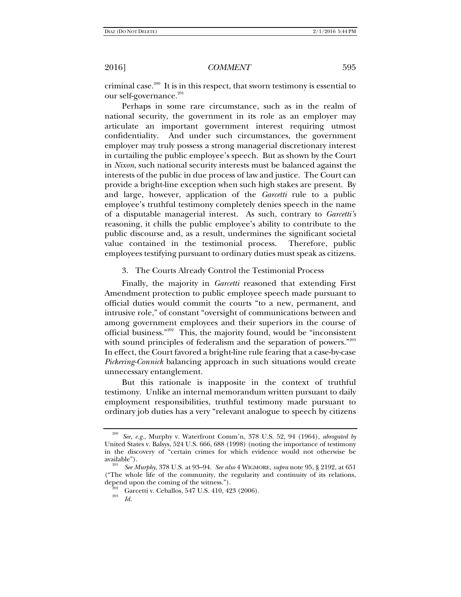criminal case. $200$  It is in this respect, that sworn testimony is essential to our self-governance.<sup>201</sup>

Perhaps in some rare circumstance, such as in the realm of national security, the government in its role as an employer may articulate an important government interest requiring utmost confidentiality. And under such circumstances, the government employer may truly possess a strong managerial discretionary interest in curtailing the public employee's speech. But as shown by the Court in *Nixon*, such national security interests must be balanced against the interests of the public in due process of law and justice. The Court can provide a bright-line exception when such high stakes are present. By and large, however, application of the *Garcetti* rule to a public employee's truthful testimony completely denies speech in the name of a disputable managerial interest. As such, contrary to *Garcetti's* reasoning, it chills the public employee's ability to contribute to the public discourse and, as a result, undermines the significant societal value contained in the testimonial process. Therefore, public employees testifying pursuant to ordinary duties must speak as citizens.

### 3. The Courts Already Control the Testimonial Process

Finally, the majority in *Garcetti* reasoned that extending First Amendment protection to public employee speech made pursuant to official duties would commit the courts "to a new, permanent, and intrusive role," of constant "oversight of communications between and among government employees and their superiors in the course of official business."202 This, the majority found, would be "inconsistent with sound principles of federalism and the separation of powers."<sup>203</sup> In effect, the Court favored a bright-line rule fearing that a case-by-case *Pickering-Connick* balancing approach in such situations would create unnecessary entanglement.

But this rationale is inapposite in the context of truthful testimony. Unlike an internal memorandum written pursuant to daily employment responsibilities, truthful testimony made pursuant to ordinary job duties has a very "relevant analogue to speech by citizens

<sup>200</sup> *See, e.g.*, Murphy v. Waterfront Comm'n, 378 U.S. 52, 94 (1964), *abrogated by* United States v. Balsys, 524 U.S. 666, 688 (1998) (noting the importance of testimony in the discovery of "certain crimes for which evidence would not otherwise be

available"). 201 *See Murphy*, 378 U.S. at 93–94. *See also* 4 WIGMORE, *supra* note 95, § 2192, at 651 ("The whole life of the community, the regularity and continuity of its relations, depend upon the coming of the witness.").<br><sup>202</sup> Garcetti v. Ceballos, 547 U.S. 410, 423 (2006).

*Id.*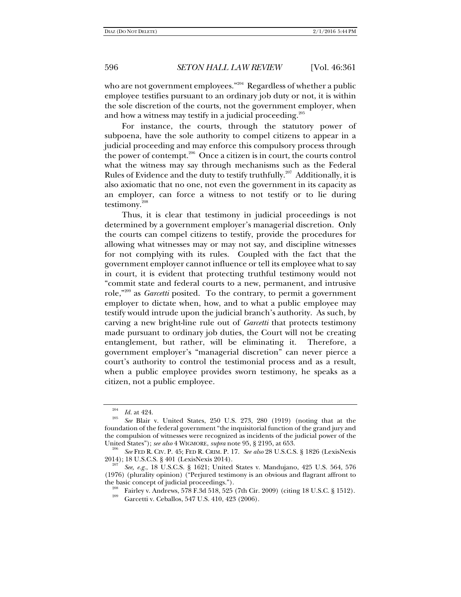who are not government employees." $204$  Regardless of whether a public employee testifies pursuant to an ordinary job duty or not, it is within the sole discretion of the courts, not the government employer, when and how a witness may testify in a judicial proceeding.<sup>205</sup>

For instance, the courts, through the statutory power of subpoena, have the sole authority to compel citizens to appear in a judicial proceeding and may enforce this compulsory process through the power of contempt.206 Once a citizen is in court, the courts control what the witness may say through mechanisms such as the Federal Rules of Evidence and the duty to testify truthfully. $207$  Additionally, it is also axiomatic that no one, not even the government in its capacity as an employer, can force a witness to not testify or to lie during testimony.208

Thus, it is clear that testimony in judicial proceedings is not determined by a government employer's managerial discretion. Only the courts can compel citizens to testify, provide the procedures for allowing what witnesses may or may not say, and discipline witnesses for not complying with its rules. Coupled with the fact that the government employer cannot influence or tell its employee what to say in court, it is evident that protecting truthful testimony would not "commit state and federal courts to a new, permanent, and intrusive role,"209 as *Garcetti* posited. To the contrary, to permit a government employer to dictate when, how, and to what a public employee may testify would intrude upon the judicial branch's authority. As such, by carving a new bright-line rule out of *Garcetti* that protects testimony made pursuant to ordinary job duties, the Court will not be creating entanglement, but rather, will be eliminating it. Therefore, a government employer's "managerial discretion" can never pierce a court's authority to control the testimonial process and as a result, when a public employee provides sworn testimony, he speaks as a citizen, not a public employee.

*Id.* at 424.

*See* Blair v. United States, 250 U.S. 273, 280 (1919) (noting that at the foundation of the federal government "the inquisitorial function of the grand jury and the compulsion of witnesses were recognized as incidents of the judicial power of the United States"); *see also* 4 WIGMORE, *supra* note 95, § 2195, at 653.

<sup>&</sup>lt;sup>206</sup> See FED R. CIV. P. 45; FED R. CRIM. P. 17. See also 28 U.S.C.S. § 1826 (LexisNexis 2014); 18 U.S.C.S. § 401 (LexisNexis 2014).

See, e.g., 18 U.S.C.S. § 1621; United States v. Mandujano, 425 U.S. 564, 576 (1976) (plurality opinion) ("Perjured testimony is an obvious and flagrant affront to the basic concept of judicial proceedings.").<br><sup>208</sup> Fairley v. Andrews, 578 F.3d 518, 525 (7th Cir. 2009) (citing 18 U.S.C. § 1512).<br><sup>209</sup> Garcetti v. Ceballos, 547 U.S. 410, 423 (2006).